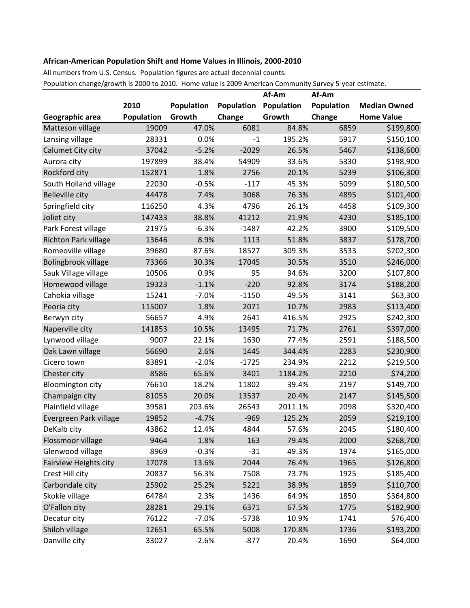## **African-American Population Shift and Home Values in Illinois, 2000-2010**

All numbers from U.S. Census. Population figures are actual decennial counts.

Population change/growth is 2000 to 2010. Home value is 2009 American Community Survey 5-year estimate.

|                         |            |            |                   | Af-Am             | Af-Am      |                     |
|-------------------------|------------|------------|-------------------|-------------------|------------|---------------------|
|                         | 2010       | Population | <b>Population</b> | <b>Population</b> | Population | <b>Median Owned</b> |
| Geographic area         | Population | Growth     | Change            | Growth            | Change     | <b>Home Value</b>   |
| Matteson village        | 19009      | 47.0%      | 6081              | 84.8%             | 6859       | \$199,800           |
| Lansing village         | 28331      | 0.0%       | $-1$              | 195.2%            | 5917       | \$150,100           |
| Calumet City city       | 37042      | $-5.2%$    | $-2029$           | 26.5%             | 5467       | \$138,600           |
| Aurora city             | 197899     | 38.4%      | 54909             | 33.6%             | 5330       | \$198,900           |
| Rockford city           | 152871     | 1.8%       | 2756              | 20.1%             | 5239       | \$106,300           |
| South Holland village   | 22030      | $-0.5%$    | $-117$            | 45.3%             | 5099       | \$180,500           |
| <b>Belleville city</b>  | 44478      | 7.4%       | 3068              | 76.3%             | 4895       | \$101,400           |
| Springfield city        | 116250     | 4.3%       | 4796              | 26.1%             | 4458       | \$109,300           |
| Joliet city             | 147433     | 38.8%      | 41212             | 21.9%             | 4230       | \$185,100           |
| Park Forest village     | 21975      | $-6.3%$    | $-1487$           | 42.2%             | 3900       | \$109,500           |
| Richton Park village    | 13646      | 8.9%       | 1113              | 51.8%             | 3837       | \$178,700           |
| Romeoville village      | 39680      | 87.6%      | 18527             | 309.3%            | 3533       | \$202,300           |
| Bolingbrook village     | 73366      | 30.3%      | 17045             | 30.5%             | 3510       | \$246,000           |
| Sauk Village village    | 10506      | 0.9%       | 95                | 94.6%             | 3200       | \$107,800           |
| Homewood village        | 19323      | $-1.1%$    | $-220$            | 92.8%             | 3174       | \$188,200           |
| Cahokia village         | 15241      | $-7.0%$    | $-1150$           | 49.5%             | 3141       | \$63,300            |
| Peoria city             | 115007     | 1.8%       | 2071              | 10.7%             | 2983       | \$113,400           |
| Berwyn city             | 56657      | 4.9%       | 2641              | 416.5%            | 2925       | \$242,300           |
| Naperville city         | 141853     | 10.5%      | 13495             | 71.7%             | 2761       | \$397,000           |
| Lynwood village         | 9007       | 22.1%      | 1630              | 77.4%             | 2591       | \$188,500           |
| Oak Lawn village        | 56690      | 2.6%       | 1445              | 344.4%            | 2283       | \$230,900           |
| Cicero town             | 83891      | $-2.0%$    | $-1725$           | 234.9%            | 2212       | \$219,500           |
| Chester city            | 8586       | 65.6%      | 3401              | 1184.2%           | 2210       | \$74,200            |
| <b>Bloomington city</b> | 76610      | 18.2%      | 11802             | 39.4%             | 2197       | \$149,700           |
| Champaign city          | 81055      | 20.0%      | 13537             | 20.4%             | 2147       | \$145,500           |
| Plainfield village      | 39581      | 203.6%     | 26543             | 2011.1%           | 2098       | \$320,400           |
| Evergreen Park village  | 19852      | $-4.7%$    | $-969$            | 125.2%            | 2059       | \$219,100           |
| DeKalb city             | 43862      | 12.4%      | 4844              | 57.6%             | 2045       | \$180,400           |
| Flossmoor village       | 9464       | 1.8%       | 163               | 79.4%             | 2000       | \$268,700           |
| Glenwood village        | 8969       | $-0.3%$    | $-31$             | 49.3%             | 1974       | \$165,000           |
| Fairview Heights city   | 17078      | 13.6%      | 2044              | 76.4%             | 1965       | \$126,800           |
| Crest Hill city         | 20837      | 56.3%      | 7508              | 73.7%             | 1925       | \$185,400           |
| Carbondale city         | 25902      | 25.2%      | 5221              | 38.9%             | 1859       | \$110,700           |
| Skokie village          | 64784      | 2.3%       | 1436              | 64.9%             | 1850       | \$364,800           |
| O'Fallon city           | 28281      | 29.1%      | 6371              | 67.5%             | 1775       | \$182,900           |
| Decatur city            | 76122      | $-7.0%$    | $-5738$           | 10.9%             | 1741       | \$76,400            |
| Shiloh village          | 12651      | 65.5%      | 5008              | 170.8%            | 1736       | \$193,200           |
| Danville city           | 33027      | $-2.6%$    | $-877$            | 20.4%             | 1690       | \$64,000            |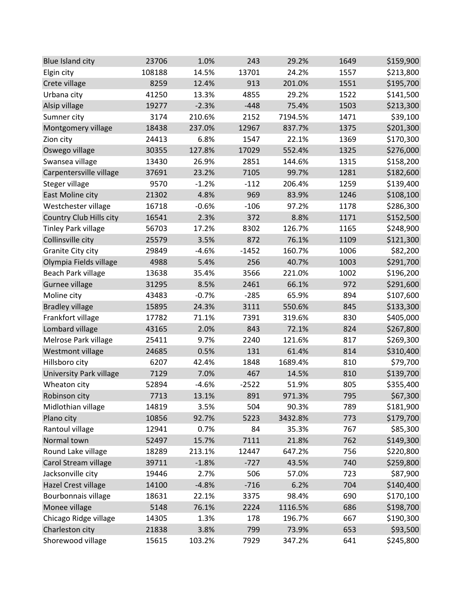| <b>Blue Island city</b>        | 23706  | 1.0%    | 243     | 29.2%   | 1649 | \$159,900 |
|--------------------------------|--------|---------|---------|---------|------|-----------|
| Elgin city                     | 108188 | 14.5%   | 13701   | 24.2%   | 1557 | \$213,800 |
| Crete village                  | 8259   | 12.4%   | 913     | 201.0%  | 1551 | \$195,700 |
| Urbana city                    | 41250  | 13.3%   | 4855    | 29.2%   | 1522 | \$141,500 |
| Alsip village                  | 19277  | $-2.3%$ | $-448$  | 75.4%   | 1503 | \$213,300 |
| Sumner city                    | 3174   | 210.6%  | 2152    | 7194.5% | 1471 | \$39,100  |
| Montgomery village             | 18438  | 237.0%  | 12967   | 837.7%  | 1375 | \$201,300 |
| Zion city                      | 24413  | 6.8%    | 1547    | 22.1%   | 1369 | \$170,300 |
| Oswego village                 | 30355  | 127.8%  | 17029   | 552.4%  | 1325 | \$276,000 |
| Swansea village                | 13430  | 26.9%   | 2851    | 144.6%  | 1315 | \$158,200 |
| Carpentersville village        | 37691  | 23.2%   | 7105    | 99.7%   | 1281 | \$182,600 |
| Steger village                 | 9570   | $-1.2%$ | $-112$  | 206.4%  | 1259 | \$139,400 |
| East Moline city               | 21302  | 4.8%    | 969     | 83.9%   | 1246 | \$108,100 |
| Westchester village            | 16718  | $-0.6%$ | $-106$  | 97.2%   | 1178 | \$286,300 |
| Country Club Hills city        | 16541  | 2.3%    | 372     | 8.8%    | 1171 | \$152,500 |
| <b>Tinley Park village</b>     | 56703  | 17.2%   | 8302    | 126.7%  | 1165 | \$248,900 |
| Collinsville city              | 25579  | 3.5%    | 872     | 76.1%   | 1109 | \$121,300 |
| Granite City city              | 29849  | $-4.6%$ | $-1452$ | 160.7%  | 1006 | \$82,200  |
| Olympia Fields village         | 4988   | 5.4%    | 256     | 40.7%   | 1003 | \$291,700 |
| Beach Park village             | 13638  | 35.4%   | 3566    | 221.0%  | 1002 | \$196,200 |
| Gurnee village                 | 31295  | 8.5%    | 2461    | 66.1%   | 972  | \$291,600 |
| Moline city                    | 43483  | $-0.7%$ | $-285$  | 65.9%   | 894  | \$107,600 |
| <b>Bradley village</b>         | 15895  | 24.3%   | 3111    | 550.6%  | 845  | \$133,300 |
| Frankfort village              | 17782  | 71.1%   | 7391    | 319.6%  | 830  | \$405,000 |
| Lombard village                | 43165  | 2.0%    | 843     | 72.1%   | 824  | \$267,800 |
| Melrose Park village           | 25411  | 9.7%    | 2240    | 121.6%  | 817  | \$269,300 |
| Westmont village               | 24685  | 0.5%    | 131     | 61.4%   | 814  | \$310,400 |
| Hillsboro city                 | 6207   | 42.4%   | 1848    | 1689.4% | 810  | \$79,700  |
| <b>University Park village</b> | 7129   | 7.0%    | 467     | 14.5%   | 810  | \$139,700 |
| Wheaton city                   | 52894  | $-4.6%$ | $-2522$ | 51.9%   | 805  | \$355,400 |
| Robinson city                  | 7713   | 13.1%   | 891     | 971.3%  | 795  | \$67,300  |
| Midlothian village             | 14819  | 3.5%    | 504     | 90.3%   | 789  | \$181,900 |
| Plano city                     | 10856  | 92.7%   | 5223    | 3432.8% | 773  | \$179,700 |
| Rantoul village                | 12941  | 0.7%    | 84      | 35.3%   | 767  | \$85,300  |
| Normal town                    | 52497  | 15.7%   | 7111    | 21.8%   | 762  | \$149,300 |
| Round Lake village             | 18289  | 213.1%  | 12447   | 647.2%  | 756  | \$220,800 |
| Carol Stream village           | 39711  | $-1.8%$ | $-727$  | 43.5%   | 740  | \$259,800 |
| Jacksonville city              | 19446  | 2.7%    | 506     | 57.0%   | 723  | \$87,900  |
| Hazel Crest village            | 14100  | $-4.8%$ | $-716$  | 6.2%    | 704  | \$140,400 |
| Bourbonnais village            | 18631  | 22.1%   | 3375    | 98.4%   | 690  | \$170,100 |
| Monee village                  | 5148   | 76.1%   | 2224    | 1116.5% | 686  | \$198,700 |
| Chicago Ridge village          | 14305  | 1.3%    | 178     | 196.7%  | 667  | \$190,300 |
| Charleston city                | 21838  | 3.8%    | 799     | 73.9%   | 653  | \$93,500  |
| Shorewood village              | 15615  | 103.2%  | 7929    | 347.2%  | 641  | \$245,800 |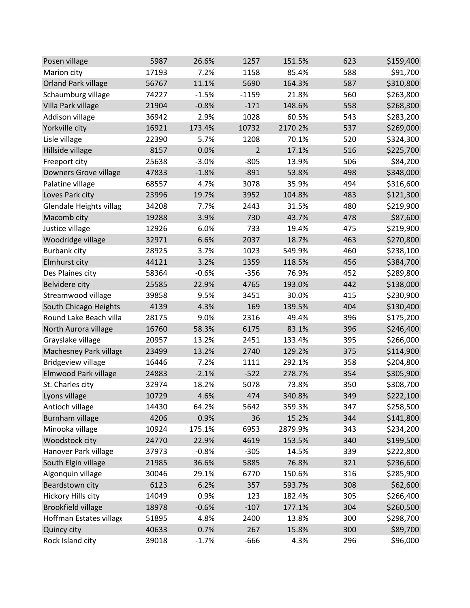| Posen village              | 5987  | 26.6%   | 1257    | 151.5%  | 623 | \$159,400 |
|----------------------------|-------|---------|---------|---------|-----|-----------|
| Marion city                | 17193 | 7.2%    | 1158    | 85.4%   | 588 | \$91,700  |
| <b>Orland Park village</b> | 56767 | 11.1%   | 5690    | 164.3%  | 587 | \$310,800 |
| Schaumburg village         | 74227 | $-1.5%$ | $-1159$ | 21.8%   | 560 | \$263,800 |
| Villa Park village         | 21904 | $-0.8%$ | $-171$  | 148.6%  | 558 | \$268,300 |
| Addison village            | 36942 | 2.9%    | 1028    | 60.5%   | 543 | \$283,200 |
| Yorkville city             | 16921 | 173.4%  | 10732   | 2170.2% | 537 | \$269,000 |
| Lisle village              | 22390 | 5.7%    | 1208    | 70.1%   | 520 | \$324,300 |
| Hillside village           | 8157  | 0.0%    | 2       | 17.1%   | 516 | \$225,700 |
| Freeport city              | 25638 | $-3.0%$ | $-805$  | 13.9%   | 506 | \$84,200  |
| Downers Grove village      | 47833 | $-1.8%$ | $-891$  | 53.8%   | 498 | \$348,000 |
| Palatine village           | 68557 | 4.7%    | 3078    | 35.9%   | 494 | \$316,600 |
| Loves Park city            | 23996 | 19.7%   | 3952    | 104.8%  | 483 | \$121,300 |
| Glendale Heights villag    | 34208 | 7.7%    | 2443    | 31.5%   | 480 | \$219,900 |
| Macomb city                | 19288 | 3.9%    | 730     | 43.7%   | 478 | \$87,600  |
| Justice village            | 12926 | 6.0%    | 733     | 19.4%   | 475 | \$219,900 |
| Woodridge village          | 32971 | 6.6%    | 2037    | 18.7%   | 463 | \$270,800 |
| <b>Burbank city</b>        | 28925 | 3.7%    | 1023    | 549.9%  | 460 | \$238,100 |
| Elmhurst city              | 44121 | 3.2%    | 1359    | 118.5%  | 456 | \$384,700 |
| Des Plaines city           | 58364 | $-0.6%$ | $-356$  | 76.9%   | 452 | \$289,800 |
| Belvidere city             | 25585 | 22.9%   | 4765    | 193.0%  | 442 | \$138,000 |
| Streamwood village         | 39858 | 9.5%    | 3451    | 30.0%   | 415 | \$230,900 |
| South Chicago Heights      | 4139  | 4.3%    | 169     | 139.5%  | 404 | \$130,400 |
| Round Lake Beach villa     | 28175 | 9.0%    | 2316    | 49.4%   | 396 | \$175,200 |
| North Aurora village       | 16760 | 58.3%   | 6175    | 83.1%   | 396 | \$246,400 |
| Grayslake village          | 20957 | 13.2%   | 2451    | 133.4%  | 395 | \$266,000 |
| Machesney Park village     | 23499 | 13.2%   | 2740    | 129.2%  | 375 | \$114,900 |
| <b>Bridgeview village</b>  | 16446 | 7.2%    | 1111    | 292.1%  | 358 | \$204,800 |
| Elmwood Park village       | 24883 | $-2.1%$ | $-522$  | 278.7%  | 354 | \$305,900 |
| St. Charles city           | 32974 | 18.2%   | 5078    | 73.8%   | 350 | \$308,700 |
| Lyons village              | 10729 | 4.6%    | 474     | 340.8%  | 349 | \$222,100 |
| Antioch village            | 14430 | 64.2%   | 5642    | 359.3%  | 347 | \$258,500 |
| Burnham village            | 4206  | 0.9%    | 36      | 15.2%   | 344 | \$141,800 |
| Minooka village            | 10924 | 175.1%  | 6953    | 2879.9% | 343 | \$234,200 |
| Woodstock city             | 24770 | 22.9%   | 4619    | 153.5%  | 340 | \$199,500 |
| Hanover Park village       | 37973 | $-0.8%$ | $-305$  | 14.5%   | 339 | \$222,800 |
| South Elgin village        | 21985 | 36.6%   | 5885    | 76.8%   | 321 | \$236,600 |
| Algonquin village          | 30046 | 29.1%   | 6770    | 150.6%  | 316 | \$285,900 |
| Beardstown city            | 6123  | 6.2%    | 357     | 593.7%  | 308 | \$62,600  |
| Hickory Hills city         | 14049 | 0.9%    | 123     | 182.4%  | 305 | \$266,400 |
| <b>Brookfield village</b>  | 18978 | $-0.6%$ | $-107$  | 177.1%  | 304 | \$260,500 |
| Hoffman Estates village    | 51895 | 4.8%    | 2400    | 13.8%   | 300 | \$298,700 |
| Quincy city                | 40633 | 0.7%    | 267     | 15.8%   | 300 | \$89,700  |
| Rock Island city           | 39018 | $-1.7%$ | $-666$  | 4.3%    | 296 | \$96,000  |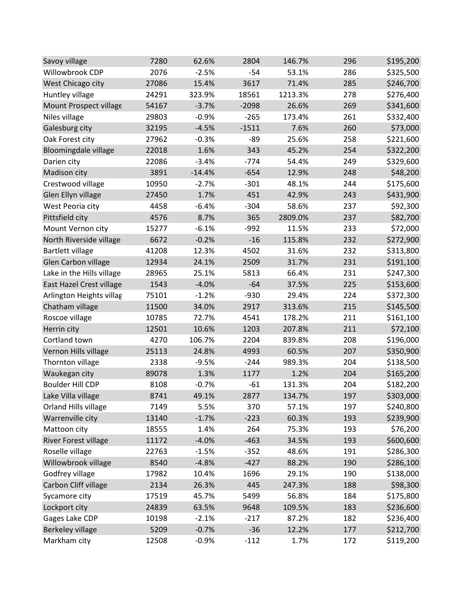| Savoy village               | 7280  | 62.6%    | 2804    | 146.7%  | 296 | \$195,200 |
|-----------------------------|-------|----------|---------|---------|-----|-----------|
| Willowbrook CDP             | 2076  | $-2.5%$  | $-54$   | 53.1%   | 286 | \$325,500 |
| West Chicago city           | 27086 | 15.4%    | 3617    | 71.4%   | 285 | \$246,700 |
| Huntley village             | 24291 | 323.9%   | 18561   | 1213.3% | 278 | \$276,400 |
| Mount Prospect village      | 54167 | $-3.7%$  | $-2098$ | 26.6%   | 269 | \$341,600 |
| Niles village               | 29803 | $-0.9%$  | $-265$  | 173.4%  | 261 | \$332,400 |
| Galesburg city              | 32195 | $-4.5%$  | $-1511$ | 7.6%    | 260 | \$73,000  |
| Oak Forest city             | 27962 | $-0.3%$  | $-89$   | 25.6%   | 258 | \$221,600 |
| <b>Bloomingdale village</b> | 22018 | 1.6%     | 343     | 45.2%   | 254 | \$322,200 |
| Darien city                 | 22086 | $-3.4%$  | $-774$  | 54.4%   | 249 | \$329,600 |
| Madison city                | 3891  | $-14.4%$ | $-654$  | 12.9%   | 248 | \$48,200  |
| Crestwood village           | 10950 | $-2.7%$  | $-301$  | 48.1%   | 244 | \$175,600 |
| Glen Ellyn village          | 27450 | 1.7%     | 451     | 42.9%   | 243 | \$431,900 |
| West Peoria city            | 4458  | $-6.4%$  | $-304$  | 58.6%   | 237 | \$92,300  |
| Pittsfield city             | 4576  | 8.7%     | 365     | 2809.0% | 237 | \$82,700  |
| Mount Vernon city           | 15277 | $-6.1%$  | $-992$  | 11.5%   | 233 | \$72,000  |
| North Riverside village     | 6672  | $-0.2%$  | $-16$   | 115.8%  | 232 | \$272,900 |
| <b>Bartlett village</b>     | 41208 | 12.3%    | 4502    | 31.6%   | 232 | \$313,800 |
| Glen Carbon village         | 12934 | 24.1%    | 2509    | 31.7%   | 231 | \$191,100 |
| Lake in the Hills village   | 28965 | 25.1%    | 5813    | 66.4%   | 231 | \$247,300 |
| East Hazel Crest village    | 1543  | $-4.0%$  | $-64$   | 37.5%   | 225 | \$153,600 |
| Arlington Heights villag    | 75101 | $-1.2%$  | $-930$  | 29.4%   | 224 | \$372,300 |
| Chatham village             | 11500 | 34.0%    | 2917    | 313.6%  | 215 | \$145,500 |
| Roscoe village              | 10785 | 72.7%    | 4541    | 178.2%  | 211 | \$161,100 |
| Herrin city                 | 12501 | 10.6%    | 1203    | 207.8%  | 211 | \$72,100  |
| Cortland town               | 4270  | 106.7%   | 2204    | 839.8%  | 208 | \$196,000 |
| Vernon Hills village        | 25113 | 24.8%    | 4993    | 60.5%   | 207 | \$350,900 |
| Thornton village            | 2338  | $-9.5%$  | $-244$  | 989.3%  | 204 | \$138,500 |
| Waukegan city               | 89078 | 1.3%     | 1177    | 1.2%    | 204 | \$165,200 |
| <b>Boulder Hill CDP</b>     | 8108  | $-0.7%$  | $-61$   | 131.3%  | 204 | \$182,200 |
| Lake Villa village          | 8741  | 49.1%    | 2877    | 134.7%  | 197 | \$303,000 |
| Orland Hills village        | 7149  | 5.5%     | 370     | 57.1%   | 197 | \$240,800 |
| Warrenville city            | 13140 | $-1.7%$  | $-223$  | 60.3%   | 193 | \$239,900 |
| Mattoon city                | 18555 | 1.4%     | 264     | 75.3%   | 193 | \$76,200  |
| River Forest village        | 11172 | $-4.0%$  | $-463$  | 34.5%   | 193 | \$600,600 |
| Roselle village             | 22763 | $-1.5%$  | $-352$  | 48.6%   | 191 | \$286,300 |
| Willowbrook village         | 8540  | $-4.8%$  | $-427$  | 88.2%   | 190 | \$286,100 |
| Godfrey village             | 17982 | 10.4%    | 1696    | 29.1%   | 190 | \$138,000 |
| Carbon Cliff village        | 2134  | 26.3%    | 445     | 247.3%  | 188 | \$98,300  |
| Sycamore city               | 17519 | 45.7%    | 5499    | 56.8%   | 184 | \$175,800 |
| Lockport city               | 24839 | 63.5%    | 9648    | 109.5%  | 183 | \$236,600 |
| Gages Lake CDP              | 10198 | $-2.1%$  | $-217$  | 87.2%   | 182 | \$236,400 |
| <b>Berkeley village</b>     | 5209  | $-0.7%$  | $-36$   | 12.2%   | 177 | \$212,700 |
| Markham city                | 12508 | $-0.9%$  | $-112$  | 1.7%    | 172 | \$119,200 |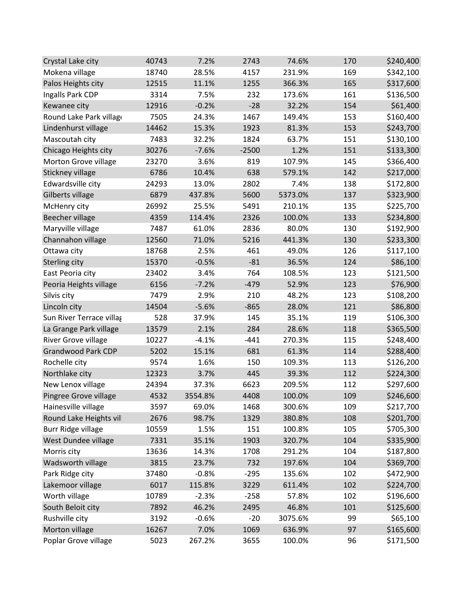| Crystal Lake city         | 40743 | 7.2%    | 2743    | 74.6%   | 170 | \$240,400 |
|---------------------------|-------|---------|---------|---------|-----|-----------|
| Mokena village            | 18740 | 28.5%   | 4157    | 231.9%  | 169 | \$342,100 |
| Palos Heights city        | 12515 | 11.1%   | 1255    | 366.3%  | 165 | \$317,600 |
| Ingalls Park CDP          | 3314  | 7.5%    | 232     | 173.6%  | 161 | \$136,500 |
| Kewanee city              | 12916 | $-0.2%$ | $-28$   | 32.2%   | 154 | \$61,400  |
| Round Lake Park village   | 7505  | 24.3%   | 1467    | 149.4%  | 153 | \$160,400 |
| Lindenhurst village       | 14462 | 15.3%   | 1923    | 81.3%   | 153 | \$243,700 |
| Mascoutah city            | 7483  | 32.2%   | 1824    | 63.7%   | 151 | \$130,100 |
| Chicago Heights city      | 30276 | $-7.6%$ | $-2500$ | 1.2%    | 151 | \$133,300 |
| Morton Grove village      | 23270 | 3.6%    | 819     | 107.9%  | 145 | \$366,400 |
| Stickney village          | 6786  | 10.4%   | 638     | 579.1%  | 142 | \$217,000 |
| Edwardsville city         | 24293 | 13.0%   | 2802    | 7.4%    | 138 | \$172,800 |
| Gilberts village          | 6879  | 437.8%  | 5600    | 5373.0% | 137 | \$323,900 |
| McHenry city              | 26992 | 25.5%   | 5491    | 210.1%  | 135 | \$225,700 |
| <b>Beecher village</b>    | 4359  | 114.4%  | 2326    | 100.0%  | 133 | \$234,800 |
| Maryville village         | 7487  | 61.0%   | 2836    | 80.0%   | 130 | \$192,900 |
| Channahon village         | 12560 | 71.0%   | 5216    | 441.3%  | 130 | \$233,300 |
| Ottawa city               | 18768 | 2.5%    | 461     | 49.0%   | 126 | \$117,100 |
| Sterling city             | 15370 | $-0.5%$ | $-81$   | 36.5%   | 124 | \$86,100  |
| East Peoria city          | 23402 | 3.4%    | 764     | 108.5%  | 123 | \$121,500 |
| Peoria Heights village    | 6156  | $-7.2%$ | $-479$  | 52.9%   | 123 | \$76,900  |
| Silvis city               | 7479  | 2.9%    | 210     | 48.2%   | 123 | \$108,200 |
| Lincoln city              | 14504 | $-5.6%$ | $-865$  | 28.0%   | 121 | \$86,800  |
| Sun River Terrace villag  | 528   | 37.9%   | 145     | 35.1%   | 119 | \$106,300 |
| La Grange Park village    | 13579 | 2.1%    | 284     | 28.6%   | 118 | \$365,500 |
| River Grove village       | 10227 | $-4.1%$ | $-441$  | 270.3%  | 115 | \$248,400 |
| <b>Grandwood Park CDP</b> | 5202  | 15.1%   | 681     | 61.3%   | 114 | \$288,400 |
| Rochelle city             | 9574  | 1.6%    | 150     | 109.3%  | 113 | \$126,200 |
| Northlake city            | 12323 | 3.7%    | 445     | 39.3%   | 112 | \$224,300 |
| New Lenox village         | 24394 | 37.3%   | 6623    | 209.5%  | 112 | \$297,600 |
| Pingree Grove village     | 4532  | 3554.8% | 4408    | 100.0%  | 109 | \$246,600 |
| Hainesville village       | 3597  | 69.0%   | 1468    | 300.6%  | 109 | \$217,700 |
| Round Lake Heights vil    | 2676  | 98.7%   | 1329    | 380.8%  | 108 | \$201,700 |
| <b>Burr Ridge village</b> | 10559 | 1.5%    | 151     | 100.8%  | 105 | \$705,300 |
| West Dundee village       | 7331  | 35.1%   | 1903    | 320.7%  | 104 | \$335,900 |
| Morris city               | 13636 | 14.3%   | 1708    | 291.2%  | 104 | \$187,800 |
| Wadsworth village         | 3815  | 23.7%   | 732     | 197.6%  | 104 | \$369,700 |
| Park Ridge city           | 37480 | $-0.8%$ | $-295$  | 135.6%  | 102 | \$472,900 |
| Lakemoor village          | 6017  | 115.8%  | 3229    | 611.4%  | 102 | \$224,700 |
| Worth village             | 10789 | $-2.3%$ | $-258$  | 57.8%   | 102 | \$196,600 |
| South Beloit city         | 7892  | 46.2%   | 2495    | 46.8%   | 101 | \$125,600 |
| Rushville city            | 3192  | $-0.6%$ | $-20$   | 3075.6% | 99  | \$65,100  |
| Morton village            | 16267 | 7.0%    | 1069    | 636.9%  | 97  | \$165,600 |
| Poplar Grove village      | 5023  | 267.2%  | 3655    | 100.0%  | 96  | \$171,500 |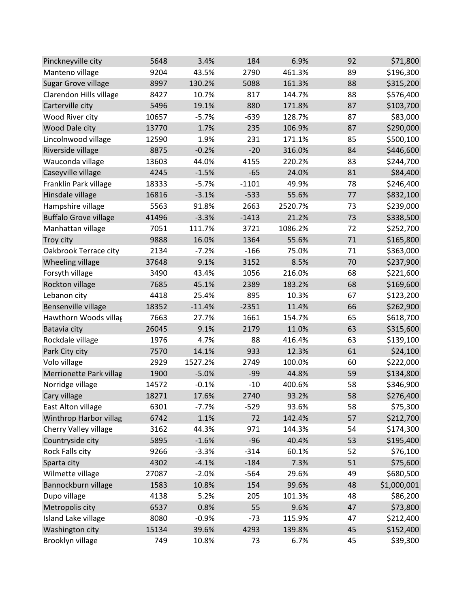| Pinckneyville city            | 5648  | 3.4%     | 184     | 6.9%    | 92 | \$71,800    |
|-------------------------------|-------|----------|---------|---------|----|-------------|
| Manteno village               | 9204  | 43.5%    | 2790    | 461.3%  | 89 | \$196,300   |
| Sugar Grove village           | 8997  | 130.2%   | 5088    | 161.3%  | 88 | \$315,200   |
| Clarendon Hills village       | 8427  | 10.7%    | 817     | 144.7%  | 88 | \$576,400   |
| Carterville city              | 5496  | 19.1%    | 880     | 171.8%  | 87 | \$103,700   |
| Wood River city               | 10657 | $-5.7%$  | $-639$  | 128.7%  | 87 | \$83,000    |
| Wood Dale city                | 13770 | 1.7%     | 235     | 106.9%  | 87 | \$290,000   |
| Lincolnwood village           | 12590 | 1.9%     | 231     | 171.1%  | 85 | \$500,100   |
| Riverside village             | 8875  | $-0.2%$  | $-20$   | 316.0%  | 84 | \$446,600   |
| Wauconda village              | 13603 | 44.0%    | 4155    | 220.2%  | 83 | \$244,700   |
| Caseyville village            | 4245  | $-1.5%$  | $-65$   | 24.0%   | 81 | \$84,400    |
| Franklin Park village         | 18333 | $-5.7%$  | $-1101$ | 49.9%   | 78 | \$246,400   |
| Hinsdale village              | 16816 | $-3.1%$  | $-533$  | 55.6%   | 77 | \$832,100   |
| Hampshire village             | 5563  | 91.8%    | 2663    | 2520.7% | 73 | \$239,000   |
| <b>Buffalo Grove village</b>  | 41496 | $-3.3%$  | $-1413$ | 21.2%   | 73 | \$338,500   |
| Manhattan village             | 7051  | 111.7%   | 3721    | 1086.2% | 72 | \$252,700   |
| Troy city                     | 9888  | 16.0%    | 1364    | 55.6%   | 71 | \$165,800   |
| Oakbrook Terrace city         | 2134  | $-7.2%$  | $-166$  | 75.0%   | 71 | \$363,000   |
| Wheeling village              | 37648 | 9.1%     | 3152    | 8.5%    | 70 | \$237,900   |
| Forsyth village               | 3490  | 43.4%    | 1056    | 216.0%  | 68 | \$221,600   |
| Rockton village               | 7685  | 45.1%    | 2389    | 183.2%  | 68 | \$169,600   |
| Lebanon city                  | 4418  | 25.4%    | 895     | 10.3%   | 67 | \$123,200   |
| Bensenville village           | 18352 | $-11.4%$ | $-2351$ | 11.4%   | 66 | \$262,900   |
| Hawthorn Woods villag         | 7663  | 27.7%    | 1661    | 154.7%  | 65 | \$618,700   |
| Batavia city                  | 26045 | 9.1%     | 2179    | 11.0%   | 63 | \$315,600   |
| Rockdale village              | 1976  | 4.7%     | 88      | 416.4%  | 63 | \$139,100   |
| Park City city                | 7570  | 14.1%    | 933     | 12.3%   | 61 | \$24,100    |
| Volo village                  | 2929  | 1527.2%  | 2749    | 100.0%  | 60 | \$222,000   |
| Merrionette Park villag       | 1900  | $-5.0%$  | $-99$   | 44.8%   | 59 | \$134,800   |
| Norridge village              | 14572 | $-0.1%$  | $-10$   | 400.6%  | 58 | \$346,900   |
| Cary village                  | 18271 | 17.6%    | 2740    | 93.2%   | 58 | \$276,400   |
| East Alton village            | 6301  | $-7.7%$  | $-529$  | 93.6%   | 58 | \$75,300    |
| <b>Winthrop Harbor villag</b> | 6742  | 1.1%     | 72      | 142.4%  | 57 | \$212,700   |
| Cherry Valley village         | 3162  | 44.3%    | 971     | 144.3%  | 54 | \$174,300   |
| Countryside city              | 5895  | $-1.6%$  | $-96$   | 40.4%   | 53 | \$195,400   |
| Rock Falls city               | 9266  | $-3.3%$  | $-314$  | 60.1%   | 52 | \$76,100    |
| Sparta city                   | 4302  | $-4.1%$  | $-184$  | 7.3%    | 51 | \$75,600    |
| Wilmette village              | 27087 | $-2.0%$  | $-564$  | 29.6%   | 49 | \$680,500   |
| Bannockburn village           | 1583  | 10.8%    | 154     | 99.6%   | 48 | \$1,000,001 |
| Dupo village                  | 4138  | 5.2%     | 205     | 101.3%  | 48 | \$86,200    |
| Metropolis city               | 6537  | 0.8%     | 55      | 9.6%    | 47 | \$73,800    |
| Island Lake village           | 8080  | $-0.9%$  | $-73$   | 115.9%  | 47 | \$212,400   |
| Washington city               | 15134 | 39.6%    | 4293    | 139.8%  | 45 | \$152,400   |
| Brooklyn village              | 749   | 10.8%    | 73      | 6.7%    | 45 | \$39,300    |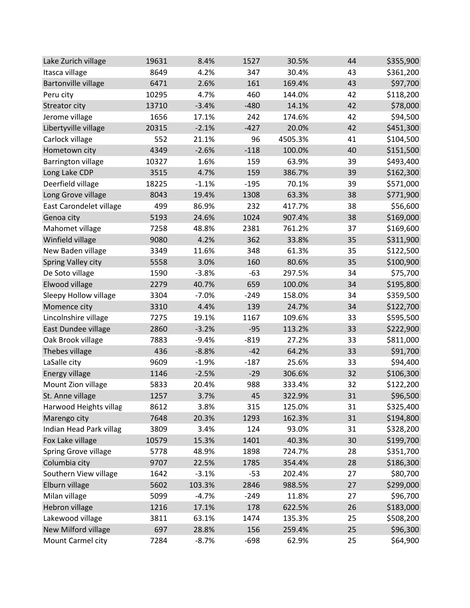| Lake Zurich village        | 19631 | 8.4%    | 1527   | 30.5%   | 44 | \$355,900 |
|----------------------------|-------|---------|--------|---------|----|-----------|
| Itasca village             | 8649  | 4.2%    | 347    | 30.4%   | 43 | \$361,200 |
| <b>Bartonville village</b> | 6471  | 2.6%    | 161    | 169.4%  | 43 | \$97,700  |
| Peru city                  | 10295 | 4.7%    | 460    | 144.0%  | 42 | \$118,200 |
| Streator city              | 13710 | $-3.4%$ | $-480$ | 14.1%   | 42 | \$78,000  |
| Jerome village             | 1656  | 17.1%   | 242    | 174.6%  | 42 | \$94,500  |
| Libertyville village       | 20315 | $-2.1%$ | $-427$ | 20.0%   | 42 | \$451,300 |
| Carlock village            | 552   | 21.1%   | 96     | 4505.3% | 41 | \$104,500 |
| Hometown city              | 4349  | $-2.6%$ | $-118$ | 100.0%  | 40 | \$151,500 |
| <b>Barrington village</b>  | 10327 | 1.6%    | 159    | 63.9%   | 39 | \$493,400 |
| Long Lake CDP              | 3515  | 4.7%    | 159    | 386.7%  | 39 | \$162,300 |
| Deerfield village          | 18225 | $-1.1%$ | $-195$ | 70.1%   | 39 | \$571,000 |
| Long Grove village         | 8043  | 19.4%   | 1308   | 63.3%   | 38 | \$771,900 |
| East Carondelet village    | 499   | 86.9%   | 232    | 417.7%  | 38 | \$56,600  |
| Genoa city                 | 5193  | 24.6%   | 1024   | 907.4%  | 38 | \$169,000 |
| Mahomet village            | 7258  | 48.8%   | 2381   | 761.2%  | 37 | \$169,600 |
| Winfield village           | 9080  | 4.2%    | 362    | 33.8%   | 35 | \$311,900 |
| New Baden village          | 3349  | 11.6%   | 348    | 61.3%   | 35 | \$122,500 |
| <b>Spring Valley city</b>  | 5558  | 3.0%    | 160    | 80.6%   | 35 | \$100,900 |
| De Soto village            | 1590  | $-3.8%$ | $-63$  | 297.5%  | 34 | \$75,700  |
| Elwood village             | 2279  | 40.7%   | 659    | 100.0%  | 34 | \$195,800 |
| Sleepy Hollow village      | 3304  | $-7.0%$ | $-249$ | 158.0%  | 34 | \$359,500 |
| Momence city               | 3310  | 4.4%    | 139    | 24.7%   | 34 | \$122,700 |
| Lincolnshire village       | 7275  | 19.1%   | 1167   | 109.6%  | 33 | \$595,500 |
| East Dundee village        | 2860  | $-3.2%$ | $-95$  | 113.2%  | 33 | \$222,900 |
| Oak Brook village          | 7883  | $-9.4%$ | $-819$ | 27.2%   | 33 | \$811,000 |
| Thebes village             | 436   | $-8.8%$ | $-42$  | 64.2%   | 33 | \$91,700  |
| LaSalle city               | 9609  | $-1.9%$ | $-187$ | 25.6%   | 33 | \$94,400  |
| Energy village             | 1146  | $-2.5%$ | $-29$  | 306.6%  | 32 | \$106,300 |
| Mount Zion village         | 5833  | 20.4%   | 988    | 333.4%  | 32 | \$122,200 |
| St. Anne village           | 1257  | 3.7%    | 45     | 322.9%  | 31 | \$96,500  |
| Harwood Heights villag     | 8612  | 3.8%    | 315    | 125.0%  | 31 | \$325,400 |
| Marengo city               | 7648  | 20.3%   | 1293   | 162.3%  | 31 | \$194,800 |
| Indian Head Park villag    | 3809  | 3.4%    | 124    | 93.0%   | 31 | \$328,200 |
| Fox Lake village           | 10579 | 15.3%   | 1401   | 40.3%   | 30 | \$199,700 |
| Spring Grove village       | 5778  | 48.9%   | 1898   | 724.7%  | 28 | \$351,700 |
| Columbia city              | 9707  | 22.5%   | 1785   | 354.4%  | 28 | \$186,300 |
| Southern View village      | 1642  | $-3.1%$ | $-53$  | 202.4%  | 27 | \$80,700  |
| Elburn village             | 5602  | 103.3%  | 2846   | 988.5%  | 27 | \$299,000 |
| Milan village              | 5099  | $-4.7%$ | $-249$ | 11.8%   | 27 | \$96,700  |
| Hebron village             | 1216  | 17.1%   | 178    | 622.5%  | 26 | \$183,000 |
| Lakewood village           | 3811  | 63.1%   | 1474   | 135.3%  | 25 | \$508,200 |
| New Milford village        | 697   | 28.8%   | 156    | 259.4%  | 25 | \$96,300  |
| Mount Carmel city          | 7284  | $-8.7%$ | $-698$ | 62.9%   | 25 | \$64,900  |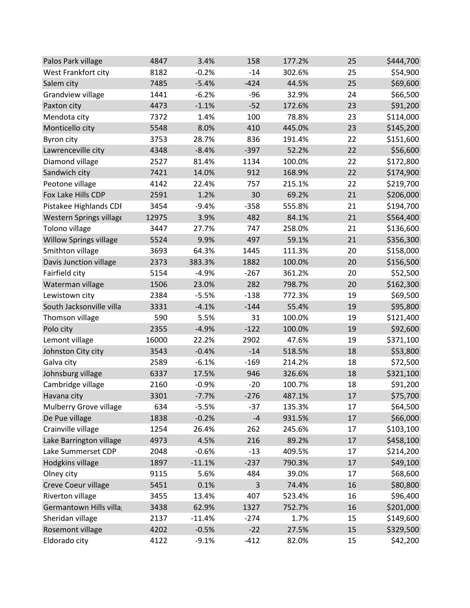| Palos Park village            | 4847  | 3.4%     | 158    | 177.2% | 25 | \$444,700 |
|-------------------------------|-------|----------|--------|--------|----|-----------|
| West Frankfort city           | 8182  | $-0.2%$  | $-14$  | 302.6% | 25 | \$54,900  |
| Salem city                    | 7485  | $-5.4%$  | $-424$ | 44.5%  | 25 | \$69,600  |
| Grandview village             | 1441  | $-6.2%$  | $-96$  | 32.9%  | 24 | \$66,500  |
| Paxton city                   | 4473  | $-1.1%$  | $-52$  | 172.6% | 23 | \$91,200  |
| Mendota city                  | 7372  | 1.4%     | 100    | 78.8%  | 23 | \$114,000 |
| Monticello city               | 5548  | 8.0%     | 410    | 445.0% | 23 | \$145,200 |
| Byron city                    | 3753  | 28.7%    | 836    | 191.4% | 22 | \$151,600 |
| Lawrenceville city            | 4348  | $-8.4%$  | $-397$ | 52.2%  | 22 | \$56,600  |
| Diamond village               | 2527  | 81.4%    | 1134   | 100.0% | 22 | \$172,800 |
| Sandwich city                 | 7421  | 14.0%    | 912    | 168.9% | 22 | \$174,900 |
| Peotone village               | 4142  | 22.4%    | 757    | 215.1% | 22 | \$219,700 |
| Fox Lake Hills CDP            | 2591  | 1.2%     | 30     | 69.2%  | 21 | \$206,000 |
| Pistakee Highlands CDI        | 3454  | $-9.4%$  | $-358$ | 555.8% | 21 | \$194,700 |
| Western Springs village       | 12975 | 3.9%     | 482    | 84.1%  | 21 | \$564,400 |
| Tolono village                | 3447  | 27.7%    | 747    | 258.0% | 21 | \$136,600 |
| <b>Willow Springs village</b> | 5524  | 9.9%     | 497    | 59.1%  | 21 | \$356,300 |
| Smithton village              | 3693  | 64.3%    | 1445   | 111.3% | 20 | \$158,000 |
| Davis Junction village        | 2373  | 383.3%   | 1882   | 100.0% | 20 | \$156,500 |
| Fairfield city                | 5154  | $-4.9%$  | $-267$ | 361.2% | 20 | \$52,500  |
| Waterman village              | 1506  | 23.0%    | 282    | 798.7% | 20 | \$162,300 |
| Lewistown city                | 2384  | $-5.5%$  | $-138$ | 772.3% | 19 | \$69,500  |
| South Jacksonville villa      | 3331  | $-4.1%$  | $-144$ | 55.4%  | 19 | \$95,800  |
| Thomson village               | 590   | 5.5%     | 31     | 100.0% | 19 | \$121,400 |
| Polo city                     | 2355  | $-4.9%$  | $-122$ | 100.0% | 19 | \$92,600  |
| Lemont village                | 16000 | 22.2%    | 2902   | 47.6%  | 19 | \$371,100 |
| Johnston City city            | 3543  | $-0.4%$  | $-14$  | 518.5% | 18 | \$53,800  |
| Galva city                    | 2589  | $-6.1%$  | $-169$ | 214.2% | 18 | \$72,500  |
| Johnsburg village             | 6337  | 17.5%    | 946    | 326.6% | 18 | \$321,100 |
| Cambridge village             | 2160  | $-0.9%$  | $-20$  | 100.7% | 18 | \$91,200  |
| Havana city                   | 3301  | $-7.7%$  | $-276$ | 487.1% | 17 | \$75,700  |
| Mulberry Grove village        | 634   | $-5.5%$  | $-37$  | 135.3% | 17 | \$64,500  |
| De Pue village                | 1838  | $-0.2%$  | $-4$   | 931.5% | 17 | \$66,000  |
| Crainville village            | 1254  | 26.4%    | 262    | 245.6% | 17 | \$103,100 |
| Lake Barrington village       | 4973  | 4.5%     | 216    | 89.2%  | 17 | \$458,100 |
| Lake Summerset CDP            | 2048  | $-0.6%$  | $-13$  | 409.5% | 17 | \$214,200 |
| Hodgkins village              | 1897  | $-11.1%$ | $-237$ | 790.3% | 17 | \$49,100  |
| Olney city                    | 9115  | 5.6%     | 484    | 39.0%  | 17 | \$68,600  |
| Creve Coeur village           | 5451  | 0.1%     | 3      | 74.4%  | 16 | \$80,800  |
| Riverton village              | 3455  | 13.4%    | 407    | 523.4% | 16 | \$96,400  |
| Germantown Hills villa        | 3438  | 62.9%    | 1327   | 752.7% | 16 | \$201,000 |
| Sheridan village              | 2137  | $-11.4%$ | $-274$ | 1.7%   | 15 | \$149,600 |
| Rosemont village              | 4202  | $-0.5%$  | $-22$  | 27.5%  | 15 | \$329,500 |
| Eldorado city                 | 4122  | $-9.1%$  | $-412$ | 82.0%  | 15 | \$42,200  |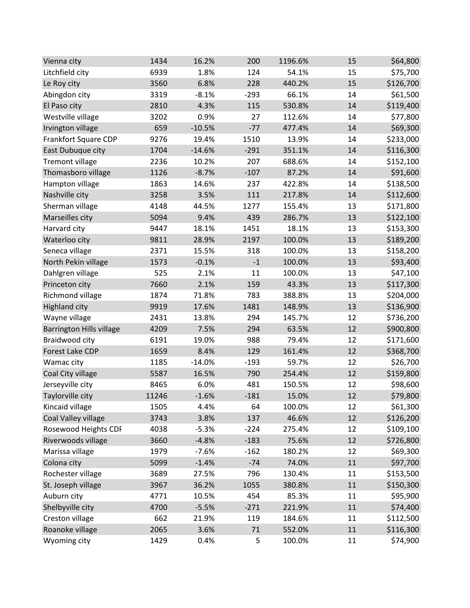| Vienna city                     | 1434  | 16.2%    | 200    | 1196.6% | 15     | \$64,800  |
|---------------------------------|-------|----------|--------|---------|--------|-----------|
| Litchfield city                 | 6939  | 1.8%     | 124    | 54.1%   | 15     | \$75,700  |
| Le Roy city                     | 3560  | 6.8%     | 228    | 440.2%  | 15     | \$126,700 |
| Abingdon city                   | 3319  | $-8.1%$  | $-293$ | 66.1%   | 14     | \$61,500  |
| El Paso city                    | 2810  | 4.3%     | 115    | 530.8%  | 14     | \$119,400 |
| Westville village               | 3202  | 0.9%     | 27     | 112.6%  | 14     | \$77,800  |
| Irvington village               | 659   | $-10.5%$ | $-77$  | 477.4%  | 14     | \$69,300  |
| Frankfort Square CDP            | 9276  | 19.4%    | 1510   | 13.9%   | 14     | \$233,000 |
| East Dubuque city               | 1704  | $-14.6%$ | $-291$ | 351.1%  | 14     | \$116,300 |
| <b>Tremont village</b>          | 2236  | 10.2%    | 207    | 688.6%  | 14     | \$152,100 |
| Thomasboro village              | 1126  | $-8.7%$  | $-107$ | 87.2%   | 14     | \$91,600  |
| Hampton village                 | 1863  | 14.6%    | 237    | 422.8%  | 14     | \$138,500 |
| Nashville city                  | 3258  | 3.5%     | 111    | 217.8%  | 14     | \$112,600 |
| Sherman village                 | 4148  | 44.5%    | 1277   | 155.4%  | 13     | \$171,800 |
| Marseilles city                 | 5094  | 9.4%     | 439    | 286.7%  | 13     | \$122,100 |
| Harvard city                    | 9447  | 18.1%    | 1451   | 18.1%   | 13     | \$153,300 |
| Waterloo city                   | 9811  | 28.9%    | 2197   | 100.0%  | 13     | \$189,200 |
| Seneca village                  | 2371  | 15.5%    | 318    | 100.0%  | 13     | \$158,200 |
| North Pekin village             | 1573  | $-0.1%$  | $-1$   | 100.0%  | 13     | \$93,400  |
| Dahlgren village                | 525   | 2.1%     | 11     | 100.0%  | 13     | \$47,100  |
| Princeton city                  | 7660  | 2.1%     | 159    | 43.3%   | 13     | \$117,300 |
| Richmond village                | 1874  | 71.8%    | 783    | 388.8%  | 13     | \$204,000 |
| <b>Highland city</b>            | 9919  | 17.6%    | 1481   | 148.9%  | 13     | \$136,900 |
| Wayne village                   | 2431  | 13.8%    | 294    | 145.7%  | 12     | \$736,200 |
| <b>Barrington Hills village</b> | 4209  | 7.5%     | 294    | 63.5%   | 12     | \$900,800 |
| Braidwood city                  | 6191  | 19.0%    | 988    | 79.4%   | 12     | \$171,600 |
| Forest Lake CDP                 | 1659  | 8.4%     | 129    | 161.4%  | 12     | \$368,700 |
| Wamac city                      | 1185  | $-14.0%$ | $-193$ | 59.7%   | 12     | \$26,700  |
| Coal City village               | 5587  | 16.5%    | 790    | 254.4%  | 12     | \$159,800 |
| Jerseyville city                | 8465  | 6.0%     | 481    | 150.5%  | 12     | \$98,600  |
| Taylorville city                | 11246 | $-1.6%$  | $-181$ | 15.0%   | 12     | \$79,800  |
| Kincaid village                 | 1505  | 4.4%     | 64     | 100.0%  | 12     | \$61,300  |
| Coal Valley village             | 3743  | 3.8%     | 137    | 46.6%   | 12     | \$126,200 |
| Rosewood Heights CDF            | 4038  | $-5.3%$  | $-224$ | 275.4%  | 12     | \$109,100 |
| Riverwoods village              | 3660  | $-4.8%$  | $-183$ | 75.6%   | 12     | \$726,800 |
| Marissa village                 | 1979  | $-7.6%$  | $-162$ | 180.2%  | 12     | \$69,300  |
| Colona city                     | 5099  | $-1.4%$  | $-74$  | 74.0%   | 11     | \$97,700  |
| Rochester village               | 3689  | 27.5%    | 796    | 130.4%  | 11     | \$153,500 |
| St. Joseph village              | 3967  | 36.2%    | 1055   | 380.8%  | 11     | \$150,300 |
| Auburn city                     | 4771  | 10.5%    | 454    | 85.3%   | 11     | \$95,900  |
| Shelbyville city                | 4700  | $-5.5%$  | $-271$ | 221.9%  | 11     | \$74,400  |
| Creston village                 | 662   | 21.9%    | 119    | 184.6%  | 11     | \$112,500 |
| Roanoke village                 | 2065  | 3.6%     | 71     | 552.0%  | $11\,$ | \$116,300 |
| Wyoming city                    | 1429  | 0.4%     | 5      | 100.0%  | 11     | \$74,900  |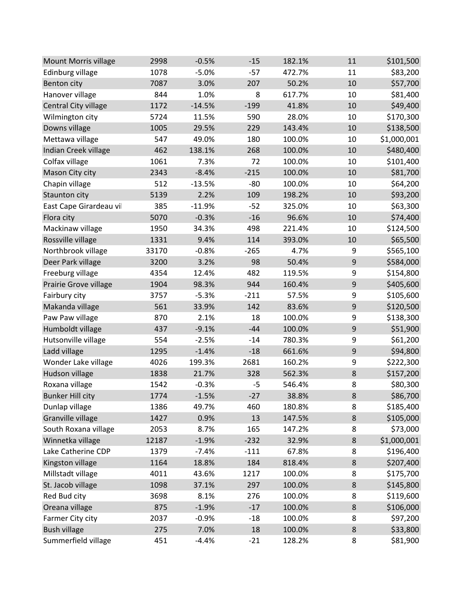| Mount Morris village    | 2998  | $-0.5%$  | $-15$  | 182.1% | 11               | \$101,500   |
|-------------------------|-------|----------|--------|--------|------------------|-------------|
| Edinburg village        | 1078  | $-5.0%$  | $-57$  | 472.7% | 11               | \$83,200    |
| Benton city             | 7087  | 3.0%     | 207    | 50.2%  | 10               | \$57,700    |
| Hanover village         | 844   | 1.0%     | 8      | 617.7% | 10               | \$81,400    |
| Central City village    | 1172  | $-14.5%$ | $-199$ | 41.8%  | 10               | \$49,400    |
| Wilmington city         | 5724  | 11.5%    | 590    | 28.0%  | 10               | \$170,300   |
| Downs village           | 1005  | 29.5%    | 229    | 143.4% | 10               | \$138,500   |
| Mettawa village         | 547   | 49.0%    | 180    | 100.0% | 10               | \$1,000,001 |
| Indian Creek village    | 462   | 138.1%   | 268    | 100.0% | 10               | \$480,400   |
| Colfax village          | 1061  | 7.3%     | 72     | 100.0% | 10               | \$101,400   |
| Mason City city         | 2343  | $-8.4%$  | $-215$ | 100.0% | 10               | \$81,700    |
| Chapin village          | 512   | $-13.5%$ | $-80$  | 100.0% | 10               | \$64,200    |
| Staunton city           | 5139  | 2.2%     | 109    | 198.2% | 10               | \$93,200    |
| East Cape Girardeau vil | 385   | $-11.9%$ | $-52$  | 325.0% | 10               | \$63,300    |
| Flora city              | 5070  | $-0.3%$  | $-16$  | 96.6%  | 10               | \$74,400    |
| Mackinaw village        | 1950  | 34.3%    | 498    | 221.4% | 10               | \$124,500   |
| Rossville village       | 1331  | 9.4%     | 114    | 393.0% | 10               | \$65,500    |
| Northbrook village      | 33170 | $-0.8%$  | $-265$ | 4.7%   | 9                | \$565,100   |
| Deer Park village       | 3200  | 3.2%     | 98     | 50.4%  | 9                | \$584,000   |
| Freeburg village        | 4354  | 12.4%    | 482    | 119.5% | 9                | \$154,800   |
| Prairie Grove village   | 1904  | 98.3%    | 944    | 160.4% | 9                | \$405,600   |
| Fairbury city           | 3757  | $-5.3%$  | $-211$ | 57.5%  | 9                | \$105,600   |
| Makanda village         | 561   | 33.9%    | 142    | 83.6%  | $\boldsymbol{9}$ | \$120,500   |
| Paw Paw village         | 870   | 2.1%     | 18     | 100.0% | 9                | \$138,300   |
| Humboldt village        | 437   | $-9.1%$  | $-44$  | 100.0% | 9                | \$51,900    |
| Hutsonville village     | 554   | $-2.5%$  | $-14$  | 780.3% | 9                | \$61,200    |
| Ladd village            | 1295  | $-1.4%$  | $-18$  | 661.6% | 9                | \$94,800    |
| Wonder Lake village     | 4026  | 199.3%   | 2681   | 160.2% | 9                | \$222,300   |
| Hudson village          | 1838  | 21.7%    | 328    | 562.3% | $\bf 8$          | \$157,200   |
| Roxana village          | 1542  | $-0.3%$  | $-5$   | 546.4% | 8                | \$80,300    |
| <b>Bunker Hill city</b> | 1774  | $-1.5%$  | $-27$  | 38.8%  | 8                | \$86,700    |
| Dunlap village          | 1386  | 49.7%    | 460    | 180.8% | 8                | \$185,400   |
| Granville village       | 1427  | 0.9%     | 13     | 147.5% | $\bf 8$          | \$105,000   |
| South Roxana village    | 2053  | 8.7%     | 165    | 147.2% | 8                | \$73,000    |
| Winnetka village        | 12187 | $-1.9%$  | $-232$ | 32.9%  | $\bf 8$          | \$1,000,001 |
| Lake Catherine CDP      | 1379  | $-7.4%$  | $-111$ | 67.8%  | 8                | \$196,400   |
| Kingston village        | 1164  | 18.8%    | 184    | 818.4% | 8                | \$207,400   |
| Millstadt village       | 4011  | 43.6%    | 1217   | 100.0% | 8                | \$175,700   |
| St. Jacob village       | 1098  | 37.1%    | 297    | 100.0% | $\bf 8$          | \$145,800   |
| Red Bud city            | 3698  | 8.1%     | 276    | 100.0% | 8                | \$119,600   |
| Oreana village          | 875   | $-1.9%$  | $-17$  | 100.0% | $\bf 8$          | \$106,000   |
| Farmer City city        | 2037  | $-0.9%$  | $-18$  | 100.0% | 8                | \$97,200    |
| <b>Bush village</b>     | 275   | 7.0%     | 18     | 100.0% | $\bf 8$          | \$33,800    |
| Summerfield village     | 451   | $-4.4%$  | $-21$  | 128.2% | 8                | \$81,900    |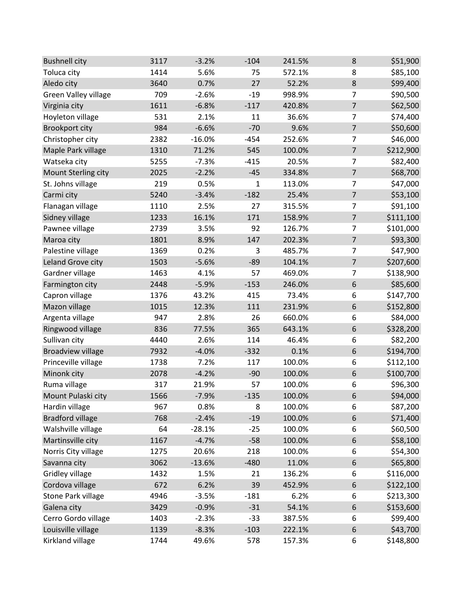| <b>Bushnell city</b>     | 3117 | $-3.2%$  | $-104$ | 241.5% | 8                | \$51,900  |
|--------------------------|------|----------|--------|--------|------------------|-----------|
| Toluca city              | 1414 | 5.6%     | 75     | 572.1% | 8                | \$85,100  |
| Aledo city               | 3640 | 0.7%     | 27     | 52.2%  | $\bf 8$          | \$99,400  |
| Green Valley village     | 709  | $-2.6%$  | $-19$  | 998.9% | $\overline{7}$   | \$90,500  |
| Virginia city            | 1611 | $-6.8%$  | $-117$ | 420.8% | $\overline{7}$   | \$62,500  |
| Hoyleton village         | 531  | 2.1%     | 11     | 36.6%  | $\overline{7}$   | \$74,400  |
| <b>Brookport city</b>    | 984  | $-6.6%$  | $-70$  | 9.6%   | $\overline{7}$   | \$50,600  |
| Christopher city         | 2382 | $-16.0%$ | $-454$ | 252.6% | $\overline{7}$   | \$46,000  |
| Maple Park village       | 1310 | 71.2%    | 545    | 100.0% | $\overline{7}$   | \$212,900 |
| Watseka city             | 5255 | $-7.3%$  | $-415$ | 20.5%  | $\overline{7}$   | \$82,400  |
| Mount Sterling city      | 2025 | $-2.2%$  | $-45$  | 334.8% | $\overline{7}$   | \$68,700  |
| St. Johns village        | 219  | 0.5%     | 1      | 113.0% | $\overline{7}$   | \$47,000  |
| Carmi city               | 5240 | $-3.4%$  | $-182$ | 25.4%  | $\overline{7}$   | \$53,100  |
| Flanagan village         | 1110 | 2.5%     | 27     | 315.5% | $\overline{7}$   | \$91,100  |
| Sidney village           | 1233 | 16.1%    | 171    | 158.9% | $\overline{7}$   | \$111,100 |
| Pawnee village           | 2739 | 3.5%     | 92     | 126.7% | 7                | \$101,000 |
| Maroa city               | 1801 | 8.9%     | 147    | 202.3% | $\overline{7}$   | \$93,300  |
| Palestine village        | 1369 | 0.2%     | 3      | 485.7% | $\overline{7}$   | \$47,900  |
| Leland Grove city        | 1503 | $-5.6%$  | $-89$  | 104.1% | $\overline{7}$   | \$207,600 |
| Gardner village          | 1463 | 4.1%     | 57     | 469.0% | $\overline{7}$   | \$138,900 |
| Farmington city          | 2448 | $-5.9%$  | $-153$ | 246.0% | $\boldsymbol{6}$ | \$85,600  |
| Capron village           | 1376 | 43.2%    | 415    | 73.4%  | 6                | \$147,700 |
| Mazon village            | 1015 | 12.3%    | 111    | 231.9% | $\boldsymbol{6}$ | \$152,800 |
| Argenta village          | 947  | 2.8%     | 26     | 660.0% | 6                | \$84,000  |
| Ringwood village         | 836  | 77.5%    | 365    | 643.1% | 6                | \$328,200 |
| Sullivan city            | 4440 | 2.6%     | 114    | 46.4%  | 6                | \$82,200  |
| <b>Broadview village</b> | 7932 | $-4.0%$  | $-332$ | 0.1%   | $\,$ 6 $\,$      | \$194,700 |
| Princeville village      | 1738 | 7.2%     | 117    | 100.0% | 6                | \$112,100 |
| Minonk city              | 2078 | $-4.2%$  | $-90$  | 100.0% | 6                | \$100,700 |
| Ruma village             | 317  | 21.9%    | 57     | 100.0% | 6                | \$96,300  |
| Mount Pulaski city       | 1566 | $-7.9%$  | $-135$ | 100.0% | 6                | \$94,000  |
| Hardin village           | 967  | 0.8%     | 8      | 100.0% | 6                | \$87,200  |
| <b>Bradford village</b>  | 768  | $-2.4%$  | $-19$  | 100.0% | 6                | \$71,400  |
| Walshville village       | 64   | $-28.1%$ | $-25$  | 100.0% | 6                | \$60,500  |
| Martinsville city        | 1167 | $-4.7%$  | $-58$  | 100.0% | $\boldsymbol{6}$ | \$58,100  |
| Norris City village      | 1275 | 20.6%    | 218    | 100.0% | 6                | \$54,300  |
| Savanna city             | 3062 | $-13.6%$ | $-480$ | 11.0%  | 6                | \$65,800  |
| Gridley village          | 1432 | 1.5%     | 21     | 136.2% | 6                | \$116,000 |
| Cordova village          | 672  | 6.2%     | 39     | 452.9% | 6                | \$122,100 |
| Stone Park village       | 4946 | $-3.5%$  | $-181$ | 6.2%   | 6                | \$213,300 |
| Galena city              | 3429 | $-0.9%$  | $-31$  | 54.1%  | 6                | \$153,600 |
| Cerro Gordo village      | 1403 | $-2.3%$  | $-33$  | 387.5% | 6                | \$99,400  |
| Louisville village       | 1139 | $-8.3%$  | $-103$ | 222.1% | $\boldsymbol{6}$ | \$43,700  |
| Kirkland village         | 1744 | 49.6%    | 578    | 157.3% | 6                | \$148,800 |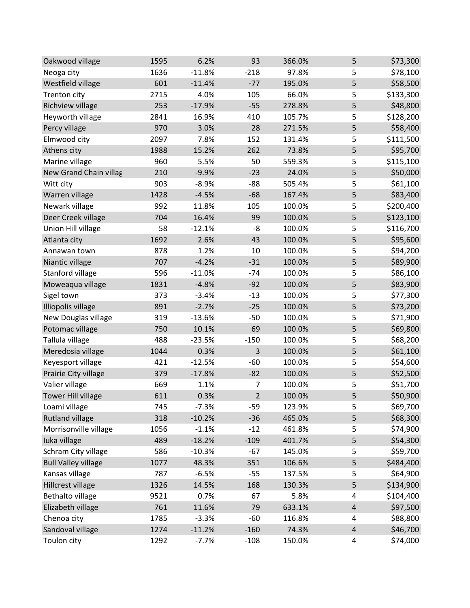| Oakwood village            | 1595 | 6.2%     | 93             | 366.0% | 5              | \$73,300  |
|----------------------------|------|----------|----------------|--------|----------------|-----------|
| Neoga city                 | 1636 | $-11.8%$ | $-218$         | 97.8%  | 5              | \$78,100  |
| Westfield village          | 601  | $-11.4%$ | $-77$          | 195.0% | 5              | \$58,500  |
| Trenton city               | 2715 | 4.0%     | 105            | 66.0%  | 5              | \$133,300 |
| Richview village           | 253  | $-17.9%$ | $-55$          | 278.8% | 5              | \$48,800  |
| Heyworth village           | 2841 | 16.9%    | 410            | 105.7% | 5              | \$128,200 |
| Percy village              | 970  | 3.0%     | 28             | 271.5% | 5              | \$58,400  |
| Elmwood city               | 2097 | 7.8%     | 152            | 131.4% | 5              | \$111,500 |
| Athens city                | 1988 | 15.2%    | 262            | 73.8%  | 5              | \$95,700  |
| Marine village             | 960  | 5.5%     | 50             | 559.3% | 5              | \$115,100 |
| New Grand Chain villag     | 210  | $-9.9%$  | $-23$          | 24.0%  | 5              | \$50,000  |
| Witt city                  | 903  | $-8.9%$  | $-88$          | 505.4% | 5              | \$61,100  |
| Warren village             | 1428 | $-4.5%$  | $-68$          | 167.4% | 5              | \$83,400  |
| Newark village             | 992  | 11.8%    | 105            | 100.0% | 5              | \$200,400 |
| Deer Creek village         | 704  | 16.4%    | 99             | 100.0% | 5              | \$123,100 |
| Union Hill village         | 58   | $-12.1%$ | -8             | 100.0% | 5              | \$116,700 |
| Atlanta city               | 1692 | 2.6%     | 43             | 100.0% | 5              | \$95,600  |
| Annawan town               | 878  | 1.2%     | 10             | 100.0% | 5              | \$94,200  |
| Niantic village            | 707  | $-4.2%$  | $-31$          | 100.0% | 5              | \$89,900  |
| Stanford village           | 596  | $-11.0%$ | $-74$          | 100.0% | 5              | \$86,100  |
| Moweaqua village           | 1831 | $-4.8%$  | $-92$          | 100.0% | 5              | \$83,900  |
| Sigel town                 | 373  | $-3.4%$  | $-13$          | 100.0% | 5              | \$77,300  |
| Illiopolis village         | 891  | $-2.7%$  | $-25$          | 100.0% | 5              | \$73,200  |
| New Douglas village        | 319  | $-13.6%$ | $-50$          | 100.0% | 5              | \$71,900  |
| Potomac village            | 750  | 10.1%    | 69             | 100.0% | 5              | \$69,800  |
| Tallula village            | 488  | $-23.5%$ | $-150$         | 100.0% | 5              | \$68,200  |
| Meredosia village          | 1044 | 0.3%     | 3              | 100.0% | 5              | \$61,100  |
| Keyesport village          | 421  | $-12.5%$ | $-60$          | 100.0% | 5              | \$54,600  |
| Prairie City village       | 379  | $-17.8%$ | $-82$          | 100.0% | 5              | \$52,500  |
| Valier village             | 669  | 1.1%     | 7              | 100.0% | 5              | \$51,700  |
| <b>Tower Hill village</b>  | 611  | 0.3%     | $\overline{2}$ | 100.0% | 5              | \$50,900  |
| Loami village              | 745  | $-7.3%$  | $-59$          | 123.9% | 5              | \$69,700  |
| <b>Rutland village</b>     | 318  | $-10.2%$ | $-36$          | 465.0% | 5              | \$68,300  |
| Morrisonville village      | 1056 | $-1.1%$  | $-12$          | 461.8% | 5              | \$74,900  |
| Iuka village               | 489  | $-18.2%$ | $-109$         | 401.7% | 5              | \$54,300  |
| Schram City village        | 586  | $-10.3%$ | $-67$          | 145.0% | 5              | \$59,700  |
| <b>Bull Valley village</b> | 1077 | 48.3%    | 351            | 106.6% | 5              | \$484,400 |
| Kansas village             | 787  | $-6.5%$  | $-55$          | 137.5% | 5              | \$64,900  |
| Hillcrest village          | 1326 | 14.5%    | 168            | 130.3% | 5              | \$134,900 |
| <b>Bethalto village</b>    | 9521 | 0.7%     | 67             | 5.8%   | 4              | \$104,400 |
| Elizabeth village          | 761  | 11.6%    | 79             | 633.1% | $\overline{4}$ | \$97,500  |
| Chenoa city                | 1785 | $-3.3%$  | $-60$          | 116.8% | 4              | \$88,800  |
| Sandoval village           | 1274 | $-11.2%$ | $-160$         | 74.3%  | $\overline{4}$ | \$46,700  |
| Toulon city                | 1292 | $-7.7%$  | $-108$         | 150.0% | 4              | \$74,000  |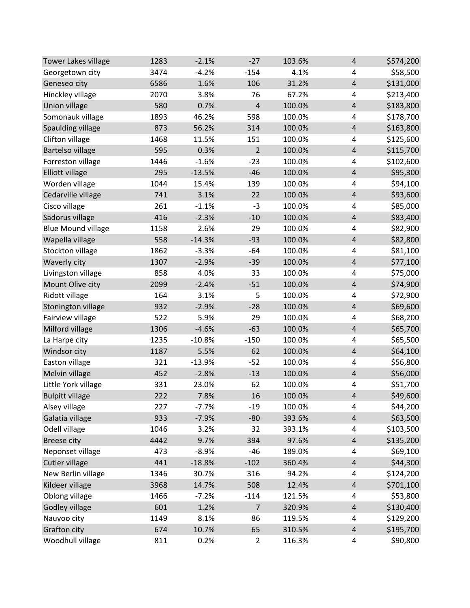| <b>Tower Lakes village</b> | 1283 | $-2.1%$  | $-27$          | 103.6% | 4                       | \$574,200 |
|----------------------------|------|----------|----------------|--------|-------------------------|-----------|
| Georgetown city            | 3474 | $-4.2%$  | $-154$         | 4.1%   | 4                       | \$58,500  |
| Geneseo city               | 6586 | 1.6%     | 106            | 31.2%  | $\overline{4}$          | \$131,000 |
| Hinckley village           | 2070 | 3.8%     | 76             | 67.2%  | 4                       | \$213,400 |
| Union village              | 580  | 0.7%     | $\overline{4}$ | 100.0% | $\overline{\mathbf{r}}$ | \$183,800 |
| Somonauk village           | 1893 | 46.2%    | 598            | 100.0% | 4                       | \$178,700 |
| Spaulding village          | 873  | 56.2%    | 314            | 100.0% | $\overline{4}$          | \$163,800 |
| Clifton village            | 1468 | 11.5%    | 151            | 100.0% | 4                       | \$125,600 |
| <b>Bartelso village</b>    | 595  | 0.3%     | $\overline{2}$ | 100.0% | $\overline{4}$          | \$115,700 |
| Forreston village          | 1446 | $-1.6%$  | $-23$          | 100.0% | 4                       | \$102,600 |
| <b>Elliott village</b>     | 295  | $-13.5%$ | $-46$          | 100.0% | $\overline{4}$          | \$95,300  |
| Worden village             | 1044 | 15.4%    | 139            | 100.0% | 4                       | \$94,100  |
| Cedarville village         | 741  | 3.1%     | 22             | 100.0% | $\overline{\mathbf{r}}$ | \$93,600  |
| Cisco village              | 261  | $-1.1%$  | $-3$           | 100.0% | 4                       | \$85,000  |
| Sadorus village            | 416  | $-2.3%$  | $-10$          | 100.0% | $\overline{4}$          | \$83,400  |
| <b>Blue Mound village</b>  | 1158 | 2.6%     | 29             | 100.0% | 4                       | \$82,900  |
| Wapella village            | 558  | $-14.3%$ | $-93$          | 100.0% | $\overline{\mathbf{r}}$ | \$82,800  |
| Stockton village           | 1862 | $-3.3%$  | $-64$          | 100.0% | 4                       | \$81,100  |
| Waverly city               | 1307 | $-2.9%$  | $-39$          | 100.0% | $\overline{\mathbf{r}}$ | \$77,100  |
| Livingston village         | 858  | 4.0%     | 33             | 100.0% | 4                       | \$75,000  |
| Mount Olive city           | 2099 | $-2.4%$  | $-51$          | 100.0% | $\overline{4}$          | \$74,900  |
| Ridott village             | 164  | 3.1%     | 5              | 100.0% | 4                       | \$72,900  |
| Stonington village         | 932  | $-2.9%$  | $-28$          | 100.0% | $\overline{4}$          | \$69,600  |
| Fairview village           | 522  | 5.9%     | 29             | 100.0% | 4                       | \$68,200  |
| Milford village            | 1306 | $-4.6%$  | $-63$          | 100.0% | $\overline{4}$          | \$65,700  |
| La Harpe city              | 1235 | $-10.8%$ | $-150$         | 100.0% | 4                       | \$65,500  |
| Windsor city               | 1187 | 5.5%     | 62             | 100.0% | $\overline{4}$          | \$64,100  |
| Easton village             | 321  | $-13.9%$ | $-52$          | 100.0% | 4                       | \$56,800  |
| Melvin village             | 452  | $-2.8%$  | $-13$          | 100.0% | $\overline{4}$          | \$56,000  |
| Little York village        | 331  | 23.0%    | 62             | 100.0% | 4                       | \$51,700  |
| <b>Bulpitt village</b>     | 222  | 7.8%     | 16             | 100.0% | $\sqrt{4}$              | \$49,600  |
| Alsey village              | 227  | $-7.7%$  | $-19$          | 100.0% | 4                       | \$44,200  |
| Galatia village            | 933  | $-7.9%$  | $-80$          | 393.6% | $\overline{4}$          | \$63,500  |
| Odell village              | 1046 | 3.2%     | 32             | 393.1% | 4                       | \$103,500 |
| <b>Breese city</b>         | 4442 | 9.7%     | 394            | 97.6%  | 4                       | \$135,200 |
| Neponset village           | 473  | $-8.9%$  | $-46$          | 189.0% | 4                       | \$69,100  |
| Cutler village             | 441  | $-18.8%$ | $-102$         | 360.4% | $\overline{4}$          | \$44,300  |
| New Berlin village         | 1346 | 30.7%    | 316            | 94.2%  | 4                       | \$124,200 |
| Kildeer village            | 3968 | 14.7%    | 508            | 12.4%  | $\overline{\mathbf{r}}$ | \$701,100 |
| Oblong village             | 1466 | $-7.2%$  | $-114$         | 121.5% | 4                       | \$53,800  |
| Godley village             | 601  | 1.2%     | $\overline{7}$ | 320.9% | $\overline{4}$          | \$130,400 |
| Nauvoo city                | 1149 | 8.1%     | 86             | 119.5% | 4                       | \$129,200 |
| Grafton city               | 674  | 10.7%    | 65             | 310.5% | $\overline{\mathbf{r}}$ | \$195,700 |
| Woodhull village           | 811  | 0.2%     | $\overline{2}$ | 116.3% | 4                       | \$90,800  |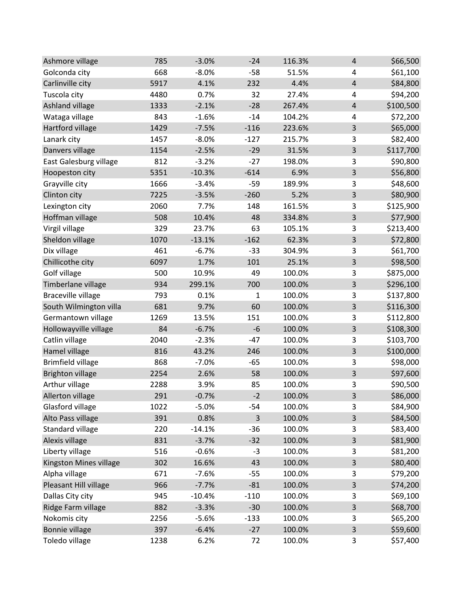| Ashmore village           | 785  | $-3.0%$  | $-24$  | 116.3% | 4                       | \$66,500  |
|---------------------------|------|----------|--------|--------|-------------------------|-----------|
| Golconda city             | 668  | $-8.0%$  | $-58$  | 51.5%  | 4                       | \$61,100  |
| Carlinville city          | 5917 | 4.1%     | 232    | 4.4%   | $\overline{\mathbf{r}}$ | \$84,800  |
| Tuscola city              | 4480 | 0.7%     | 32     | 27.4%  | 4                       | \$94,200  |
| Ashland village           | 1333 | $-2.1%$  | $-28$  | 267.4% | $\overline{\mathbf{r}}$ | \$100,500 |
| Wataga village            | 843  | $-1.6%$  | $-14$  | 104.2% | 4                       | \$72,200  |
| Hartford village          | 1429 | $-7.5%$  | $-116$ | 223.6% | 3                       | \$65,000  |
| Lanark city               | 1457 | $-8.0%$  | $-127$ | 215.7% | 3                       | \$82,400  |
| Danvers village           | 1154 | $-2.5%$  | $-29$  | 31.5%  | 3                       | \$117,700 |
| East Galesburg village    | 812  | $-3.2%$  | $-27$  | 198.0% | 3                       | \$90,800  |
| Hoopeston city            | 5351 | $-10.3%$ | $-614$ | 6.9%   | 3                       | \$56,800  |
| Grayville city            | 1666 | $-3.4%$  | $-59$  | 189.9% | 3                       | \$48,600  |
| Clinton city              | 7225 | $-3.5%$  | $-260$ | 5.2%   | 3                       | \$80,900  |
| Lexington city            | 2060 | 7.7%     | 148    | 161.5% | 3                       | \$125,900 |
| Hoffman village           | 508  | 10.4%    | 48     | 334.8% | 3                       | \$77,900  |
| Virgil village            | 329  | 23.7%    | 63     | 105.1% | 3                       | \$213,400 |
| Sheldon village           | 1070 | $-13.1%$ | $-162$ | 62.3%  | $\mathsf{3}$            | \$72,800  |
| Dix village               | 461  | $-6.7%$  | $-33$  | 304.9% | 3                       | \$61,700  |
| Chillicothe city          | 6097 | 1.7%     | 101    | 25.1%  | 3                       | \$98,500  |
| Golf village              | 500  | 10.9%    | 49     | 100.0% | 3                       | \$875,000 |
| Timberlane village        | 934  | 299.1%   | 700    | 100.0% | 3                       | \$296,100 |
| <b>Braceville village</b> | 793  | 0.1%     | 1      | 100.0% | 3                       | \$137,800 |
| South Wilmington villa    | 681  | 9.7%     | 60     | 100.0% | $\mathsf{3}$            | \$116,300 |
| Germantown village        | 1269 | 13.5%    | 151    | 100.0% | 3                       | \$112,800 |
| Hollowayville village     | 84   | $-6.7%$  | $-6$   | 100.0% | 3                       | \$108,300 |
| Catlin village            | 2040 | $-2.3%$  | $-47$  | 100.0% | 3                       | \$103,700 |
| Hamel village             | 816  | 43.2%    | 246    | 100.0% | 3                       | \$100,000 |
| <b>Brimfield village</b>  | 868  | $-7.0%$  | $-65$  | 100.0% | 3                       | \$98,000  |
| <b>Brighton village</b>   | 2254 | 2.6%     | 58     | 100.0% | 3                       | \$97,600  |
| Arthur village            | 2288 | 3.9%     | 85     | 100.0% | 3                       | \$90,500  |
| Allerton village          | 291  | $-0.7%$  | $-2$   | 100.0% | 3                       | \$86,000  |
| Glasford village          | 1022 | $-5.0%$  | $-54$  | 100.0% | 3                       | \$84,900  |
| Alto Pass village         | 391  | 0.8%     | 3      | 100.0% | 3                       | \$84,500  |
| Standard village          | 220  | $-14.1%$ | $-36$  | 100.0% | 3                       | \$83,400  |
| Alexis village            | 831  | $-3.7%$  | $-32$  | 100.0% | 3                       | \$81,900  |
| Liberty village           | 516  | $-0.6%$  | $-3$   | 100.0% | 3                       | \$81,200  |
| Kingston Mines village    | 302  | 16.6%    | 43     | 100.0% | 3                       | \$80,400  |
| Alpha village             | 671  | $-7.6%$  | $-55$  | 100.0% | 3                       | \$79,200  |
| Pleasant Hill village     | 966  | $-7.7%$  | $-81$  | 100.0% | 3                       | \$74,200  |
| Dallas City city          | 945  | $-10.4%$ | $-110$ | 100.0% | 3                       | \$69,100  |
| Ridge Farm village        | 882  | $-3.3%$  | $-30$  | 100.0% | 3                       | \$68,700  |
| Nokomis city              | 2256 | $-5.6%$  | $-133$ | 100.0% | 3                       | \$65,200  |
| Bonnie village            | 397  | $-6.4%$  | $-27$  | 100.0% | 3                       | \$59,600  |
| Toledo village            | 1238 | 6.2%     | 72     | 100.0% | 3                       | \$57,400  |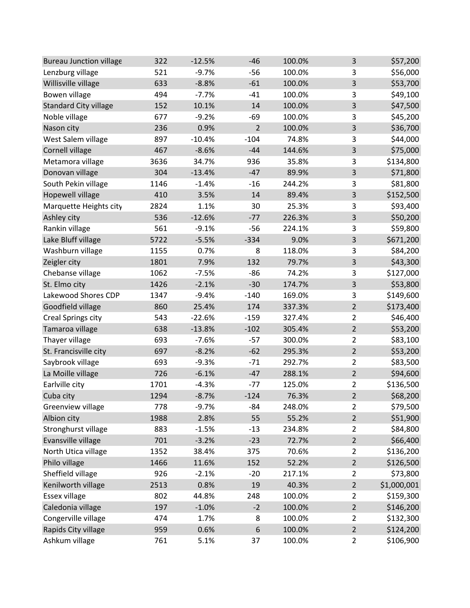| <b>Bureau Junction village</b> | 322  | $-12.5%$ | $-46$          | 100.0% | 3              | \$57,200    |
|--------------------------------|------|----------|----------------|--------|----------------|-------------|
| Lenzburg village               | 521  | $-9.7%$  | $-56$          | 100.0% | 3              | \$56,000    |
| Willisville village            | 633  | $-8.8%$  | $-61$          | 100.0% | 3              | \$53,700    |
| Bowen village                  | 494  | $-7.7%$  | $-41$          | 100.0% | 3              | \$49,100    |
| <b>Standard City village</b>   | 152  | 10.1%    | 14             | 100.0% | 3              | \$47,500    |
| Noble village                  | 677  | $-9.2%$  | $-69$          | 100.0% | 3              | \$45,200    |
| Nason city                     | 236  | 0.9%     | $\overline{2}$ | 100.0% | 3              | \$36,700    |
| West Salem village             | 897  | $-10.4%$ | $-104$         | 74.8%  | 3              | \$44,000    |
| Cornell village                | 467  | $-8.6%$  | $-44$          | 144.6% | 3              | \$75,000    |
| Metamora village               | 3636 | 34.7%    | 936            | 35.8%  | 3              | \$134,800   |
| Donovan village                | 304  | $-13.4%$ | $-47$          | 89.9%  | 3              | \$71,800    |
| South Pekin village            | 1146 | $-1.4%$  | $-16$          | 244.2% | 3              | \$81,800    |
| Hopewell village               | 410  | 3.5%     | 14             | 89.4%  | $\overline{3}$ | \$152,500   |
| Marquette Heights city         | 2824 | 1.1%     | 30             | 25.3%  | 3              | \$93,400    |
| Ashley city                    | 536  | $-12.6%$ | $-77$          | 226.3% | 3              | \$50,200    |
| Rankin village                 | 561  | $-9.1%$  | $-56$          | 224.1% | 3              | \$59,800    |
| Lake Bluff village             | 5722 | $-5.5%$  | $-334$         | 9.0%   | 3              | \$671,200   |
| Washburn village               | 1155 | 0.7%     | 8              | 118.0% | 3              | \$84,200    |
| Zeigler city                   | 1801 | 7.9%     | 132            | 79.7%  | 3              | \$43,300    |
| Chebanse village               | 1062 | $-7.5%$  | $-86$          | 74.2%  | 3              | \$127,000   |
| St. Elmo city                  | 1426 | $-2.1%$  | $-30$          | 174.7% | 3              | \$53,800    |
| Lakewood Shores CDP            | 1347 | $-9.4%$  | $-140$         | 169.0% | 3              | \$149,600   |
| Goodfield village              | 860  | 25.4%    | 174            | 337.3% | $\overline{2}$ | \$173,400   |
| Creal Springs city             | 543  | $-22.6%$ | $-159$         | 327.4% | $\overline{2}$ | \$46,400    |
| Tamaroa village                | 638  | $-13.8%$ | $-102$         | 305.4% | $\overline{2}$ | \$53,200    |
| Thayer village                 | 693  | $-7.6%$  | $-57$          | 300.0% | $\overline{2}$ | \$83,100    |
| St. Francisville city          | 697  | $-8.2%$  | $-62$          | 295.3% | $\overline{2}$ | \$53,200    |
| Saybrook village               | 693  | $-9.3%$  | $-71$          | 292.7% | $\overline{2}$ | \$83,500    |
| La Moille village              | 726  | $-6.1%$  | $-47$          | 288.1% | $\overline{2}$ | \$94,600    |
| Earlville city                 | 1701 | $-4.3%$  | $-77$          | 125.0% | $\overline{2}$ | \$136,500   |
| Cuba city                      | 1294 | $-8.7%$  | $-124$         | 76.3%  | $\overline{2}$ | \$68,200    |
| Greenview village              | 778  | $-9.7%$  | $-84$          | 248.0% | $\overline{2}$ | \$79,500    |
| Albion city                    | 1988 | 2.8%     | 55             | 55.2%  | $\overline{2}$ | \$51,900    |
| Stronghurst village            | 883  | $-1.5%$  | $-13$          | 234.8% | $\overline{2}$ | \$84,800    |
| Evansville village             | 701  | $-3.2%$  | $-23$          | 72.7%  | $\overline{2}$ | \$66,400    |
| North Utica village            | 1352 | 38.4%    | 375            | 70.6%  | $\overline{2}$ | \$136,200   |
| Philo village                  | 1466 | 11.6%    | 152            | 52.2%  | $\overline{2}$ | \$126,500   |
| Sheffield village              | 926  | $-2.1%$  | $-20$          | 217.1% | $\overline{2}$ | \$73,800    |
| Kenilworth village             | 2513 | 0.8%     | 19             | 40.3%  | $\overline{2}$ | \$1,000,001 |
| Essex village                  | 802  | 44.8%    | 248            | 100.0% | $\overline{2}$ | \$159,300   |
| Caledonia village              | 197  | $-1.0%$  | $-2$           | 100.0% | $\overline{2}$ | \$146,200   |
| Congerville village            | 474  | 1.7%     | 8              | 100.0% | 2              | \$132,300   |
| Rapids City village            | 959  | 0.6%     | 6              | 100.0% | $\overline{2}$ | \$124,200   |
| Ashkum village                 | 761  | 5.1%     | 37             | 100.0% | $\overline{2}$ | \$106,900   |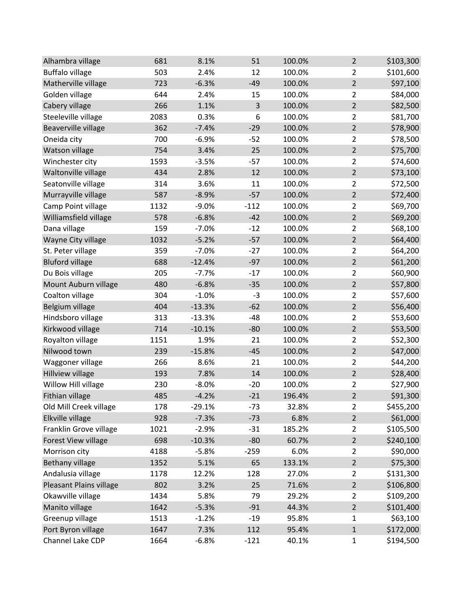| Alhambra village        | 681  | 8.1%     | 51     | 100.0% | $\overline{2}$ | \$103,300 |
|-------------------------|------|----------|--------|--------|----------------|-----------|
| <b>Buffalo village</b>  | 503  | 2.4%     | 12     | 100.0% | $\overline{2}$ | \$101,600 |
| Matherville village     | 723  | $-6.3%$  | $-49$  | 100.0% | $\overline{2}$ | \$97,100  |
| Golden village          | 644  | 2.4%     | 15     | 100.0% | $\overline{2}$ | \$84,000  |
| Cabery village          | 266  | 1.1%     | 3      | 100.0% | $\overline{2}$ | \$82,500  |
| Steeleville village     | 2083 | 0.3%     | 6      | 100.0% | $\overline{2}$ | \$81,700  |
| Beaverville village     | 362  | $-7.4%$  | $-29$  | 100.0% | $\overline{2}$ | \$78,900  |
| Oneida city             | 700  | $-6.9%$  | $-52$  | 100.0% | $\overline{2}$ | \$78,500  |
| Watson village          | 754  | 3.4%     | 25     | 100.0% | $\overline{2}$ | \$75,700  |
| Winchester city         | 1593 | $-3.5%$  | $-57$  | 100.0% | $\overline{2}$ | \$74,600  |
| Waltonville village     | 434  | 2.8%     | 12     | 100.0% | $\overline{2}$ | \$73,100  |
| Seatonville village     | 314  | 3.6%     | 11     | 100.0% | $\overline{2}$ | \$72,500  |
| Murrayville village     | 587  | $-8.9%$  | $-57$  | 100.0% | $\overline{2}$ | \$72,400  |
| Camp Point village      | 1132 | $-9.0%$  | $-112$ | 100.0% | $\overline{2}$ | \$69,700  |
| Williamsfield village   | 578  | $-6.8%$  | $-42$  | 100.0% | $\overline{2}$ | \$69,200  |
| Dana village            | 159  | $-7.0%$  | $-12$  | 100.0% | $\overline{2}$ | \$68,100  |
| Wayne City village      | 1032 | $-5.2%$  | $-57$  | 100.0% | $\overline{2}$ | \$64,400  |
| St. Peter village       | 359  | $-7.0%$  | $-27$  | 100.0% | $\overline{2}$ | \$64,200  |
| <b>Bluford village</b>  | 688  | $-12.4%$ | $-97$  | 100.0% | $\overline{2}$ | \$61,200  |
| Du Bois village         | 205  | $-7.7%$  | $-17$  | 100.0% | $\overline{2}$ | \$60,900  |
| Mount Auburn village    | 480  | $-6.8%$  | $-35$  | 100.0% | $\overline{2}$ | \$57,800  |
| Coalton village         | 304  | $-1.0%$  | $-3$   | 100.0% | $\overline{2}$ | \$57,600  |
| Belgium village         | 404  | $-13.3%$ | $-62$  | 100.0% | $\overline{2}$ | \$56,400  |
| Hindsboro village       | 313  | $-13.3%$ | $-48$  | 100.0% | $\overline{2}$ | \$53,600  |
| Kirkwood village        | 714  | $-10.1%$ | $-80$  | 100.0% | $\overline{2}$ | \$53,500  |
| Royalton village        | 1151 | 1.9%     | 21     | 100.0% | $\overline{2}$ | \$52,300  |
| Nilwood town            | 239  | $-15.8%$ | $-45$  | 100.0% | $\overline{2}$ | \$47,000  |
| Waggoner village        | 266  | 8.6%     | 21     | 100.0% | $\overline{2}$ | \$44,200  |
| Hillview village        | 193  | 7.8%     | 14     | 100.0% | $\overline{2}$ | \$28,400  |
| Willow Hill village     | 230  | $-8.0%$  | $-20$  | 100.0% | $\overline{2}$ | \$27,900  |
| Fithian village         | 485  | $-4.2%$  | $-21$  | 196.4% | $\overline{2}$ | \$91,300  |
| Old Mill Creek village  | 178  | $-29.1%$ | $-73$  | 32.8%  | $\overline{2}$ | \$455,200 |
| Elkville village        | 928  | $-7.3%$  | $-73$  | 6.8%   | $\overline{2}$ | \$61,000  |
| Franklin Grove village  | 1021 | $-2.9%$  | $-31$  | 185.2% | $\overline{2}$ | \$105,500 |
| Forest View village     | 698  | $-10.3%$ | $-80$  | 60.7%  | $\overline{2}$ | \$240,100 |
| Morrison city           | 4188 | $-5.8%$  | $-259$ | 6.0%   | $\overline{2}$ | \$90,000  |
| <b>Bethany village</b>  | 1352 | 5.1%     | 65     | 133.1% | $\overline{2}$ | \$75,300  |
| Andalusia village       | 1178 | 12.2%    | 128    | 27.0%  | $\overline{2}$ | \$131,300 |
| Pleasant Plains village | 802  | 3.2%     | 25     | 71.6%  | $\overline{2}$ | \$106,800 |
| Okawville village       | 1434 | 5.8%     | 79     | 29.2%  | 2              | \$109,200 |
| Manito village          | 1642 | $-5.3%$  | $-91$  | 44.3%  | $\overline{2}$ | \$101,400 |
| Greenup village         | 1513 | $-1.2%$  | $-19$  | 95.8%  | $\mathbf{1}$   | \$63,100  |
| Port Byron village      | 1647 | 7.3%     | 112    | 95.4%  | $\mathbf 1$    | \$172,000 |
| Channel Lake CDP        | 1664 | $-6.8%$  | $-121$ | 40.1%  | $\mathbf{1}$   | \$194,500 |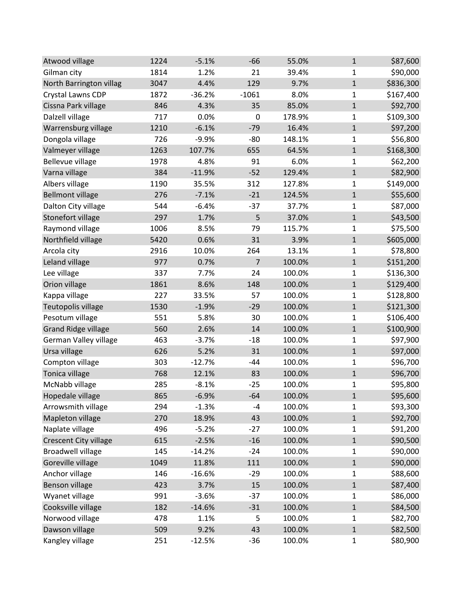| Atwood village               | 1224 | $-5.1%$  | $-66$          | 55.0%  | $\mathbf{1}$ | \$87,600  |
|------------------------------|------|----------|----------------|--------|--------------|-----------|
| Gilman city                  | 1814 | 1.2%     | 21             | 39.4%  | 1            | \$90,000  |
| North Barrington villag      | 3047 | 4.4%     | 129            | 9.7%   | $\mathbf 1$  | \$836,300 |
| Crystal Lawns CDP            | 1872 | $-36.2%$ | $-1061$        | 8.0%   | 1            | \$167,400 |
| Cissna Park village          | 846  | 4.3%     | 35             | 85.0%  | $\mathbf{1}$ | \$92,700  |
| Dalzell village              | 717  | 0.0%     | 0              | 178.9% | $\mathbf{1}$ | \$109,300 |
| Warrensburg village          | 1210 | $-6.1%$  | $-79$          | 16.4%  | $\mathbf{1}$ | \$97,200  |
| Dongola village              | 726  | $-9.9%$  | $-80$          | 148.1% | 1            | \$56,800  |
| Valmeyer village             | 1263 | 107.7%   | 655            | 64.5%  | $\mathbf 1$  | \$168,300 |
| Bellevue village             | 1978 | 4.8%     | 91             | 6.0%   | $\mathbf{1}$ | \$62,200  |
| Varna village                | 384  | $-11.9%$ | $-52$          | 129.4% | $\mathbf 1$  | \$82,900  |
| Albers village               | 1190 | 35.5%    | 312            | 127.8% | 1            | \$149,000 |
| <b>Bellmont village</b>      | 276  | $-7.1%$  | $-21$          | 124.5% | $\mathbf{1}$ | \$55,600  |
| Dalton City village          | 544  | $-6.4%$  | $-37$          | 37.7%  | 1            | \$87,000  |
| Stonefort village            | 297  | 1.7%     | 5              | 37.0%  | $\mathbf{1}$ | \$43,500  |
| Raymond village              | 1006 | 8.5%     | 79             | 115.7% | $\mathbf{1}$ | \$75,500  |
| Northfield village           | 5420 | 0.6%     | 31             | 3.9%   | $\mathbf 1$  | \$605,000 |
| Arcola city                  | 2916 | 10.0%    | 264            | 13.1%  | 1            | \$78,800  |
| Leland village               | 977  | 0.7%     | $\overline{7}$ | 100.0% | $\mathbf{1}$ | \$151,200 |
| Lee village                  | 337  | 7.7%     | 24             | 100.0% | $\mathbf{1}$ | \$136,300 |
| Orion village                | 1861 | 8.6%     | 148            | 100.0% | $\mathbf 1$  | \$129,400 |
| Kappa village                | 227  | 33.5%    | 57             | 100.0% | 1            | \$128,800 |
| Teutopolis village           | 1530 | $-1.9%$  | $-29$          | 100.0% | $\mathbf 1$  | \$121,300 |
| Pesotum village              | 551  | 5.8%     | 30             | 100.0% | $\mathbf 1$  | \$106,400 |
| <b>Grand Ridge village</b>   | 560  | 2.6%     | 14             | 100.0% | $\mathbf{1}$ | \$100,900 |
| German Valley village        | 463  | $-3.7%$  | $-18$          | 100.0% | 1            | \$97,900  |
| Ursa village                 | 626  | 5.2%     | 31             | 100.0% | $\mathbf 1$  | \$97,000  |
| Compton village              | 303  | $-12.7%$ | $-44$          | 100.0% | 1            | \$96,700  |
| Tonica village               | 768  | 12.1%    | 83             | 100.0% | $\mathbf{1}$ | \$96,700  |
| McNabb village               | 285  | $-8.1%$  | $-25$          | 100.0% | $\mathbf{1}$ | \$95,800  |
| Hopedale village             | 865  | $-6.9%$  | $-64$          | 100.0% | $\mathbf{1}$ | \$95,600  |
| Arrowsmith village           | 294  | $-1.3%$  | $-4$           | 100.0% | $\mathbf{1}$ | \$93,300  |
| Mapleton village             | 270  | 18.9%    | 43             | 100.0% | $\mathbf{1}$ | \$92,700  |
| Naplate village              | 496  | $-5.2%$  | $-27$          | 100.0% | 1            | \$91,200  |
| <b>Crescent City village</b> | 615  | $-2.5%$  | $-16$          | 100.0% | $\mathbf{1}$ | \$90,500  |
| <b>Broadwell village</b>     | 145  | $-14.2%$ | $-24$          | 100.0% | 1            | \$90,000  |
| Goreville village            | 1049 | 11.8%    | 111            | 100.0% | $\mathbf{1}$ | \$90,000  |
| Anchor village               | 146  | $-16.6%$ | $-29$          | 100.0% | 1            | \$88,600  |
| Benson village               | 423  | 3.7%     | 15             | 100.0% | $\mathbf{1}$ | \$87,400  |
| Wyanet village               | 991  | $-3.6%$  | $-37$          | 100.0% | 1            | \$86,000  |
| Cooksville village           | 182  | $-14.6%$ | $-31$          | 100.0% | $\mathbf 1$  | \$84,500  |
| Norwood village              | 478  | 1.1%     | 5              | 100.0% | $\mathbf{1}$ | \$82,700  |
| Dawson village               | 509  | 9.2%     | 43             | 100.0% | $\mathbf 1$  | \$82,500  |
| Kangley village              | 251  | $-12.5%$ | $-36$          | 100.0% | $\mathbf{1}$ | \$80,900  |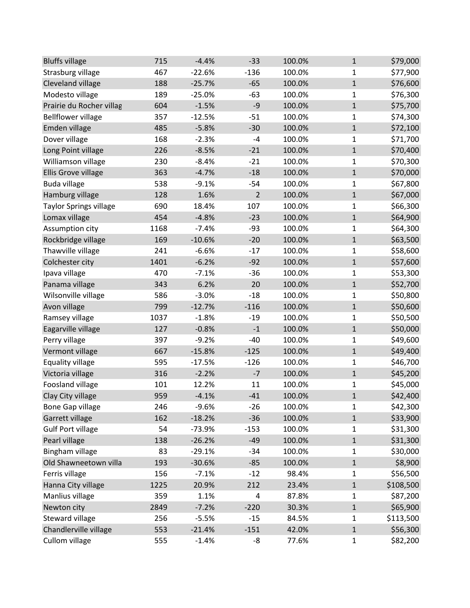| <b>Bluffs village</b>     | 715  | $-4.4%$  | $-33$          | 100.0% | $\mathbf{1}$ | \$79,000  |
|---------------------------|------|----------|----------------|--------|--------------|-----------|
| Strasburg village         | 467  | $-22.6%$ | $-136$         | 100.0% | 1            | \$77,900  |
| Cleveland village         | 188  | $-25.7%$ | $-65$          | 100.0% | $\mathbf 1$  | \$76,600  |
| Modesto village           | 189  | $-25.0%$ | $-63$          | 100.0% | 1            | \$76,300  |
| Prairie du Rocher villag  | 604  | $-1.5%$  | $-9$           | 100.0% | $\mathbf{1}$ | \$75,700  |
| <b>Bellflower village</b> | 357  | $-12.5%$ | $-51$          | 100.0% | $\mathbf{1}$ | \$74,300  |
| Emden village             | 485  | $-5.8%$  | $-30$          | 100.0% | $\mathbf{1}$ | \$72,100  |
| Dover village             | 168  | $-2.3%$  | -4             | 100.0% | 1            | \$71,700  |
| Long Point village        | 226  | $-8.5%$  | $-21$          | 100.0% | $\mathbf 1$  | \$70,400  |
| Williamson village        | 230  | $-8.4%$  | $-21$          | 100.0% | 1            | \$70,300  |
| Ellis Grove village       | 363  | $-4.7%$  | $-18$          | 100.0% | $\mathbf 1$  | \$70,000  |
| <b>Buda village</b>       | 538  | $-9.1%$  | $-54$          | 100.0% | 1            | \$67,800  |
| Hamburg village           | 128  | 1.6%     | $\overline{2}$ | 100.0% | $\mathbf{1}$ | \$67,000  |
| Taylor Springs village    | 690  | 18.4%    | 107            | 100.0% | 1            | \$66,300  |
| Lomax village             | 454  | $-4.8%$  | $-23$          | 100.0% | $\mathbf{1}$ | \$64,900  |
| Assumption city           | 1168 | $-7.4%$  | $-93$          | 100.0% | $\mathbf{1}$ | \$64,300  |
| Rockbridge village        | 169  | $-10.6%$ | $-20$          | 100.0% | $\mathbf 1$  | \$63,500  |
| Thawville village         | 241  | $-6.6%$  | $-17$          | 100.0% | 1            | \$58,600  |
| Colchester city           | 1401 | $-6.2%$  | $-92$          | 100.0% | $\mathbf{1}$ | \$57,600  |
| Ipava village             | 470  | $-7.1%$  | $-36$          | 100.0% | $\mathbf{1}$ | \$53,300  |
| Panama village            | 343  | 6.2%     | 20             | 100.0% | $\mathbf 1$  | \$52,700  |
| Wilsonville village       | 586  | $-3.0%$  | $-18$          | 100.0% | 1            | \$50,800  |
| Avon village              | 799  | $-12.7%$ | $-116$         | 100.0% | $\mathbf 1$  | \$50,600  |
| Ramsey village            | 1037 | $-1.8%$  | $-19$          | 100.0% | $\mathbf{1}$ | \$50,500  |
| Eagarville village        | 127  | $-0.8%$  | $-1$           | 100.0% | $\mathbf{1}$ | \$50,000  |
| Perry village             | 397  | $-9.2%$  | $-40$          | 100.0% | 1            | \$49,600  |
| Vermont village           | 667  | $-15.8%$ | $-125$         | 100.0% | $\mathbf 1$  | \$49,400  |
| Equality village          | 595  | $-17.5%$ | $-126$         | 100.0% | 1            | \$46,700  |
| Victoria village          | 316  | $-2.2%$  | $-7$           | 100.0% | $\mathbf 1$  | \$45,200  |
| Foosland village          | 101  | 12.2%    | 11             | 100.0% | $\mathbf{1}$ | \$45,000  |
| Clay City village         | 959  | $-4.1%$  | $-41$          | 100.0% | $\mathbf{1}$ | \$42,400  |
| <b>Bone Gap village</b>   | 246  | $-9.6%$  | $-26$          | 100.0% | $\mathbf{1}$ | \$42,300  |
| Garrett village           | 162  | $-18.2%$ | $-36$          | 100.0% | $\mathbf{1}$ | \$33,900  |
| <b>Gulf Port village</b>  | 54   | $-73.9%$ | $-153$         | 100.0% | 1            | \$31,300  |
| Pearl village             | 138  | $-26.2%$ | $-49$          | 100.0% | $\mathbf{1}$ | \$31,300  |
| Bingham village           | 83   | $-29.1%$ | $-34$          | 100.0% | $\mathbf{1}$ | \$30,000  |
| Old Shawneetown villa     | 193  | $-30.6%$ | $-85$          | 100.0% | $\mathbf{1}$ | \$8,900   |
| Ferris village            | 156  | $-7.1%$  | $-12$          | 98.4%  | $\mathbf{1}$ | \$56,500  |
| Hanna City village        | 1225 | 20.9%    | 212            | 23.4%  | $\mathbf{1}$ | \$108,500 |
| Manlius village           | 359  | 1.1%     | 4              | 87.8%  | 1            | \$87,200  |
| Newton city               | 2849 | $-7.2%$  | $-220$         | 30.3%  | $\mathbf 1$  | \$65,900  |
| Steward village           | 256  | $-5.5%$  | $-15$          | 84.5%  | 1            | \$113,500 |
| Chandlerville village     | 553  | $-21.4%$ | $-151$         | 42.0%  | $\mathbf 1$  | \$56,300  |
| Cullom village            | 555  | $-1.4%$  | -8             | 77.6%  | $\mathbf{1}$ | \$82,200  |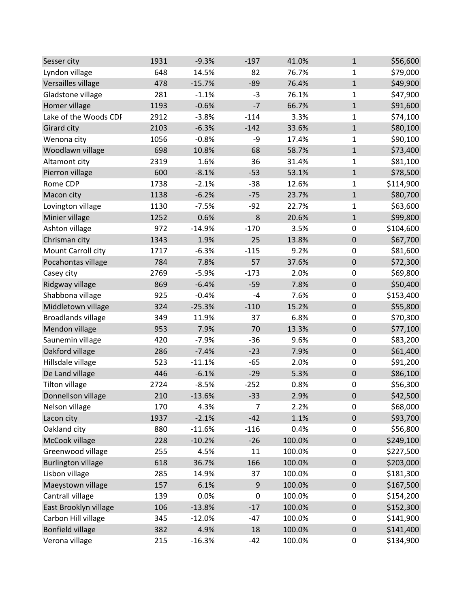| Sesser city               | 1931 | $-9.3%$  | $-197$ | 41.0%  | $\mathbf{1}$     | \$56,600  |
|---------------------------|------|----------|--------|--------|------------------|-----------|
| Lyndon village            | 648  | 14.5%    | 82     | 76.7%  | 1                | \$79,000  |
| Versailles village        | 478  | $-15.7%$ | $-89$  | 76.4%  | $\mathbf 1$      | \$49,900  |
| Gladstone village         | 281  | $-1.1%$  | $-3$   | 76.1%  | 1                | \$47,900  |
| Homer village             | 1193 | $-0.6%$  | $-7$   | 66.7%  | $\mathbf{1}$     | \$91,600  |
| Lake of the Woods CDI     | 2912 | $-3.8%$  | $-114$ | 3.3%   | $\mathbf{1}$     | \$74,100  |
| Girard city               | 2103 | $-6.3%$  | $-142$ | 33.6%  | $\mathbf{1}$     | \$80,100  |
| Wenona city               | 1056 | $-0.8%$  | -9     | 17.4%  | 1                | \$90,100  |
| Woodlawn village          | 698  | 10.8%    | 68     | 58.7%  | $\mathbf 1$      | \$73,400  |
| Altamont city             | 2319 | 1.6%     | 36     | 31.4%  | $\mathbf{1}$     | \$81,100  |
| Pierron village           | 600  | $-8.1%$  | $-53$  | 53.1%  | $\mathbf 1$      | \$78,500  |
| Rome CDP                  | 1738 | $-2.1%$  | $-38$  | 12.6%  | 1                | \$114,900 |
| Macon city                | 1138 | $-6.2%$  | $-75$  | 23.7%  | $\mathbf{1}$     | \$80,700  |
| Lovington village         | 1130 | $-7.5%$  | $-92$  | 22.7%  | 1                | \$63,600  |
| Minier village            | 1252 | 0.6%     | 8      | 20.6%  | $\mathbf{1}$     | \$99,800  |
| Ashton village            | 972  | $-14.9%$ | $-170$ | 3.5%   | $\pmb{0}$        | \$104,600 |
| Chrisman city             | 1343 | 1.9%     | 25     | 13.8%  | $\pmb{0}$        | \$67,700  |
| Mount Carroll city        | 1717 | $-6.3%$  | $-115$ | 9.2%   | 0                | \$81,600  |
| Pocahontas village        | 784  | 7.8%     | 57     | 37.6%  | $\pmb{0}$        | \$72,300  |
| Casey city                | 2769 | $-5.9%$  | $-173$ | 2.0%   | $\pmb{0}$        | \$69,800  |
| Ridgway village           | 869  | $-6.4%$  | $-59$  | 7.8%   | $\pmb{0}$        | \$50,400  |
| Shabbona village          | 925  | $-0.4%$  | $-4$   | 7.6%   | $\pmb{0}$        | \$153,400 |
| Middletown village        | 324  | $-25.3%$ | $-110$ | 15.2%  | $\pmb{0}$        | \$55,800  |
| <b>Broadlands village</b> | 349  | 11.9%    | 37     | 6.8%   | 0                | \$70,300  |
| Mendon village            | 953  | 7.9%     | 70     | 13.3%  | $\mathbf 0$      | \$77,100  |
| Saunemin village          | 420  | $-7.9%$  | $-36$  | 9.6%   | $\pmb{0}$        | \$83,200  |
| Oakford village           | 286  | $-7.4%$  | $-23$  | 7.9%   | $\pmb{0}$        | \$61,400  |
| Hillsdale village         | 523  | $-11.1%$ | $-65$  | 2.0%   | $\pmb{0}$        | \$91,200  |
| De Land village           | 446  | $-6.1%$  | $-29$  | 5.3%   | $\pmb{0}$        | \$86,100  |
| <b>Tilton village</b>     | 2724 | $-8.5%$  | $-252$ | 0.8%   | 0                | \$56,300  |
| Donnellson village        | 210  | $-13.6%$ | $-33$  | 2.9%   | $\boldsymbol{0}$ | \$42,500  |
| Nelson village            | 170  | 4.3%     | 7      | 2.2%   | $\mathbf 0$      | \$68,000  |
| Lacon city                | 1937 | $-2.1%$  | $-42$  | 1.1%   | $\pmb{0}$        | \$93,700  |
| Oakland city              | 880  | $-11.6%$ | $-116$ | 0.4%   | $\pmb{0}$        | \$56,800  |
| McCook village            | 228  | $-10.2%$ | $-26$  | 100.0% | $\pmb{0}$        | \$249,100 |
| Greenwood village         | 255  | 4.5%     | 11     | 100.0% | $\pmb{0}$        | \$227,500 |
| <b>Burlington village</b> | 618  | 36.7%    | 166    | 100.0% | $\pmb{0}$        | \$203,000 |
| Lisbon village            | 285  | 14.9%    | 37     | 100.0% | $\pmb{0}$        | \$181,300 |
| Maeystown village         | 157  | 6.1%     | 9      | 100.0% | $\pmb{0}$        | \$167,500 |
| Cantrall village          | 139  | 0.0%     | 0      | 100.0% | 0                | \$154,200 |
| East Brooklyn village     | 106  | $-13.8%$ | $-17$  | 100.0% | $\pmb{0}$        | \$152,300 |
| Carbon Hill village       | 345  | $-12.0%$ | $-47$  | 100.0% | 0                | \$141,900 |
| <b>Bonfield village</b>   | 382  | 4.9%     | 18     | 100.0% | $\pmb{0}$        | \$141,400 |
| Verona village            | 215  | $-16.3%$ | $-42$  | 100.0% | 0                | \$134,900 |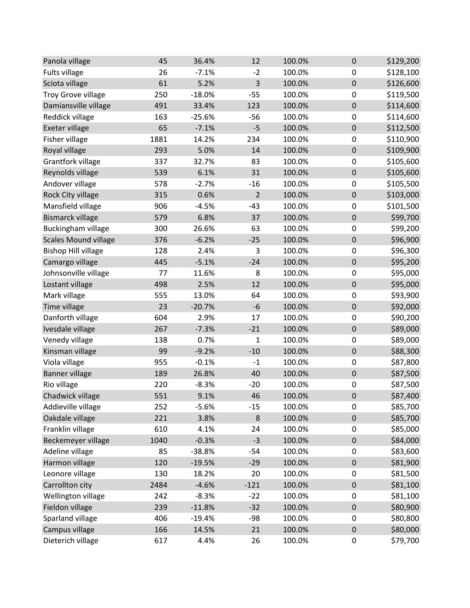| Panola village              | 45   | 36.4%    | 12             | 100.0% | $\mathbf 0$      | \$129,200 |
|-----------------------------|------|----------|----------------|--------|------------------|-----------|
| Fults village               | 26   | $-7.1%$  | $-2$           | 100.0% | $\mathbf 0$      | \$128,100 |
| Sciota village              | 61   | 5.2%     | 3              | 100.0% | $\pmb{0}$        | \$126,600 |
| <b>Troy Grove village</b>   | 250  | $-18.0%$ | $-55$          | 100.0% | $\pmb{0}$        | \$119,500 |
| Damiansville village        | 491  | 33.4%    | 123            | 100.0% | $\pmb{0}$        | \$114,600 |
| Reddick village             | 163  | $-25.6%$ | $-56$          | 100.0% | $\mathbf 0$      | \$114,600 |
| Exeter village              | 65   | $-7.1%$  | $-5$           | 100.0% | $\pmb{0}$        | \$112,500 |
| Fisher village              | 1881 | 14.2%    | 234            | 100.0% | $\pmb{0}$        | \$110,900 |
| Royal village               | 293  | 5.0%     | 14             | 100.0% | $\pmb{0}$        | \$109,900 |
| Grantfork village           | 337  | 32.7%    | 83             | 100.0% | $\mathbf 0$      | \$105,600 |
| Reynolds village            | 539  | 6.1%     | 31             | 100.0% | $\pmb{0}$        | \$105,600 |
| Andover village             | 578  | $-2.7%$  | $-16$          | 100.0% | $\boldsymbol{0}$ | \$105,500 |
| Rock City village           | 315  | 0.6%     | $\overline{2}$ | 100.0% | $\pmb{0}$        | \$103,000 |
| Mansfield village           | 906  | $-4.5%$  | $-43$          | 100.0% | $\mathbf 0$      | \$101,500 |
| <b>Bismarck village</b>     | 579  | 6.8%     | 37             | 100.0% | $\pmb{0}$        | \$99,700  |
| Buckingham village          | 300  | 26.6%    | 63             | 100.0% | $\pmb{0}$        | \$99,200  |
| <b>Scales Mound village</b> | 376  | $-6.2%$  | $-25$          | 100.0% | $\pmb{0}$        | \$96,900  |
| <b>Bishop Hill village</b>  | 128  | 2.4%     | 3              | 100.0% | $\pmb{0}$        | \$96,300  |
| Camargo village             | 445  | $-5.1%$  | $-24$          | 100.0% | $\pmb{0}$        | \$95,200  |
| Johnsonville village        | 77   | 11.6%    | 8              | 100.0% | $\pmb{0}$        | \$95,000  |
| Lostant village             | 498  | 2.5%     | 12             | 100.0% | $\pmb{0}$        | \$95,000  |
| Mark village                | 555  | 13.0%    | 64             | 100.0% | $\pmb{0}$        | \$93,900  |
| Time village                | 23   | $-20.7%$ | $-6$           | 100.0% | $\pmb{0}$        | \$92,000  |
| Danforth village            | 604  | 2.9%     | 17             | 100.0% | $\pmb{0}$        | \$90,200  |
| Ivesdale village            | 267  | $-7.3%$  | $-21$          | 100.0% | $\pmb{0}$        | \$89,000  |
| Venedy village              | 138  | 0.7%     | $\mathbf{1}$   | 100.0% | $\mathbf 0$      | \$89,000  |
| Kinsman village             | 99   | $-9.2%$  | $-10$          | 100.0% | $\boldsymbol{0}$ | \$88,300  |
| Viola village               | 955  | $-0.1%$  | $-1$           | 100.0% | $\pmb{0}$        | \$87,800  |
| <b>Banner village</b>       | 189  | 26.8%    | 40             | 100.0% | $\pmb{0}$        | \$87,500  |
| Rio village                 | 220  | $-8.3%$  | $-20$          | 100.0% | $\pmb{0}$        | \$87,500  |
| Chadwick village            | 551  | 9.1%     | 46             | 100.0% | $\mathbf 0$      | \$87,400  |
| Addieville village          | 252  | $-5.6%$  | $-15$          | 100.0% | 0                | \$85,700  |
| Oakdale village             | 221  | 3.8%     | 8              | 100.0% | $\pmb{0}$        | \$85,700  |
| Franklin village            | 610  | 4.1%     | 24             | 100.0% | 0                | \$85,000  |
| Beckemeyer village          | 1040 | $-0.3%$  | $-3$           | 100.0% | $\pmb{0}$        | \$84,000  |
| Adeline village             | 85   | $-38.8%$ | $-54$          | 100.0% | $\boldsymbol{0}$ | \$83,600  |
| Harmon village              | 120  | $-19.5%$ | $-29$          | 100.0% | $\pmb{0}$        | \$81,900  |
| Leonore village             | 130  | 18.2%    | 20             | 100.0% | $\pmb{0}$        | \$81,500  |
| Carrollton city             | 2484 | $-4.6%$  | $-121$         | 100.0% | $\pmb{0}$        | \$81,100  |
| Wellington village          | 242  | $-8.3%$  | $-22$          | 100.0% | $\pmb{0}$        | \$81,100  |
| Fieldon village             | 239  | $-11.8%$ | $-32$          | 100.0% | $\pmb{0}$        | \$80,900  |
| Sparland village            | 406  | $-19.4%$ | $-98$          | 100.0% | 0                | \$80,800  |
| Campus village              | 166  | 14.5%    | 21             | 100.0% | $\pmb{0}$        | \$80,000  |
| Dieterich village           | 617  | 4.4%     | 26             | 100.0% | 0                | \$79,700  |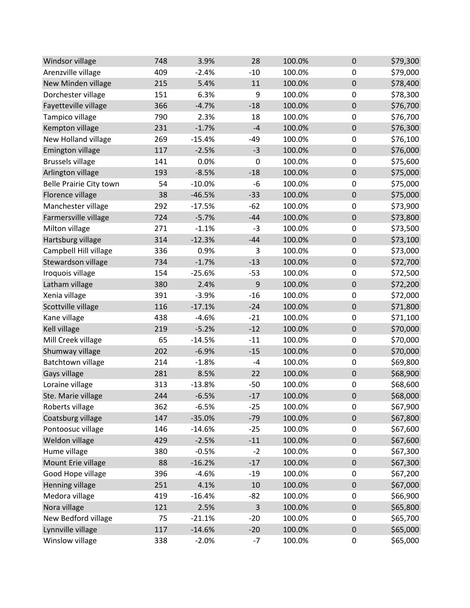| Windsor village         | 748 | 3.9%     | 28               | 100.0% | $\mathbf 0$      | \$79,300 |
|-------------------------|-----|----------|------------------|--------|------------------|----------|
| Arenzville village      | 409 | $-2.4%$  | $-10$            | 100.0% | $\mathbf 0$      | \$79,000 |
| New Minden village      | 215 | 5.4%     | 11               | 100.0% | $\boldsymbol{0}$ | \$78,400 |
| Dorchester village      | 151 | 6.3%     | 9                | 100.0% | $\mathbf 0$      | \$78,300 |
| Fayetteville village    | 366 | $-4.7%$  | $-18$            | 100.0% | $\boldsymbol{0}$ | \$76,700 |
| Tampico village         | 790 | 2.3%     | 18               | 100.0% | 0                | \$76,700 |
| Kempton village         | 231 | $-1.7%$  | $-4$             | 100.0% | $\mathbf 0$      | \$76,300 |
| New Holland village     | 269 | $-15.4%$ | $-49$            | 100.0% | $\boldsymbol{0}$ | \$76,100 |
| <b>Emington village</b> | 117 | $-2.5%$  | $-3$             | 100.0% | $\boldsymbol{0}$ | \$76,000 |
| <b>Brussels village</b> | 141 | 0.0%     | $\boldsymbol{0}$ | 100.0% | $\mathbf 0$      | \$75,600 |
| Arlington village       | 193 | $-8.5%$  | $-18$            | 100.0% | $\boldsymbol{0}$ | \$75,000 |
| Belle Prairie City town | 54  | $-10.0%$ | $-6$             | 100.0% | $\mathbf 0$      | \$75,000 |
| Florence village        | 38  | $-46.5%$ | $-33$            | 100.0% | $\boldsymbol{0}$ | \$75,000 |
| Manchester village      | 292 | $-17.5%$ | $-62$            | 100.0% | $\mathbf 0$      | \$73,900 |
| Farmersville village    | 724 | $-5.7%$  | $-44$            | 100.0% | $\mathbf 0$      | \$73,800 |
| Milton village          | 271 | $-1.1%$  | $-3$             | 100.0% | $\pmb{0}$        | \$73,500 |
| Hartsburg village       | 314 | $-12.3%$ | $-44$            | 100.0% | $\pmb{0}$        | \$73,100 |
| Campbell Hill village   | 336 | 0.9%     | 3                | 100.0% | $\mathbf 0$      | \$73,000 |
| Stewardson village      | 734 | $-1.7%$  | $-13$            | 100.0% | $\mathbf 0$      | \$72,700 |
| Iroquois village        | 154 | $-25.6%$ | $-53$            | 100.0% | $\mathbf 0$      | \$72,500 |
| Latham village          | 380 | 2.4%     | 9                | 100.0% | $\mathbf 0$      | \$72,200 |
| Xenia village           | 391 | $-3.9%$  | $-16$            | 100.0% | $\mathbf 0$      | \$72,000 |
| Scottville village      | 116 | $-17.1%$ | $-24$            | 100.0% | $\boldsymbol{0}$ | \$71,800 |
| Kane village            | 438 | $-4.6%$  | $-21$            | 100.0% | $\mathbf 0$      | \$71,100 |
| Kell village            | 219 | $-5.2%$  | $-12$            | 100.0% | $\mathbf 0$      | \$70,000 |
| Mill Creek village      | 65  | $-14.5%$ | $-11$            | 100.0% | $\mathbf 0$      | \$70,000 |
| Shumway village         | 202 | $-6.9%$  | $-15$            | 100.0% | $\boldsymbol{0}$ | \$70,000 |
| Batchtown village       | 214 | $-1.8%$  | $-4$             | 100.0% | $\mathbf 0$      | \$69,800 |
| Gays village            | 281 | 8.5%     | 22               | 100.0% | $\boldsymbol{0}$ | \$68,900 |
| Loraine village         | 313 | $-13.8%$ | $-50$            | 100.0% | $\mathbf 0$      | \$68,600 |
| Ste. Marie village      | 244 | $-6.5%$  | $-17$            | 100.0% | $\mathbf 0$      | \$68,000 |
| Roberts village         | 362 | $-6.5%$  | $-25$            | 100.0% | $\pmb{0}$        | \$67,900 |
| Coatsburg village       | 147 | $-35.0%$ | $-79$            | 100.0% | $\mathbf 0$      | \$67,800 |
| Pontoosuc village       | 146 | $-14.6%$ | $-25$            | 100.0% | $\boldsymbol{0}$ | \$67,600 |
| Weldon village          | 429 | $-2.5%$  | $-11$            | 100.0% | $\boldsymbol{0}$ | \$67,600 |
| Hume village            | 380 | $-0.5%$  | $-2$             | 100.0% | $\boldsymbol{0}$ | \$67,300 |
| Mount Erie village      | 88  | $-16.2%$ | $-17$            | 100.0% | $\boldsymbol{0}$ | \$67,300 |
| Good Hope village       | 396 | $-4.6%$  | $-19$            | 100.0% | $\mathbf 0$      | \$67,200 |
| Henning village         | 251 | 4.1%     | 10               | 100.0% | $\boldsymbol{0}$ | \$67,000 |
| Medora village          | 419 | $-16.4%$ | $-82$            | 100.0% | $\boldsymbol{0}$ | \$66,900 |
| Nora village            | 121 | 2.5%     | 3                | 100.0% | $\boldsymbol{0}$ | \$65,800 |
| New Bedford village     | 75  | $-21.1%$ | $-20$            | 100.0% | $\pmb{0}$        | \$65,700 |
| Lynnville village       | 117 | $-14.6%$ | $-20$            | 100.0% | $\pmb{0}$        | \$65,000 |
| Winslow village         | 338 | $-2.0%$  | $-7$             | 100.0% | $\boldsymbol{0}$ | \$65,000 |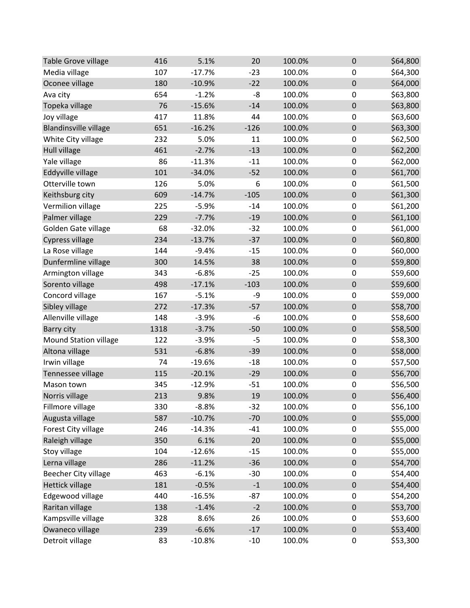| Table Grove village          | 416  | 5.1%     | 20     | 100.0% | 0                | \$64,800 |
|------------------------------|------|----------|--------|--------|------------------|----------|
| Media village                | 107  | $-17.7%$ | $-23$  | 100.0% | $\mathbf 0$      | \$64,300 |
| Oconee village               | 180  | $-10.9%$ | $-22$  | 100.0% | $\pmb{0}$        | \$64,000 |
| Ava city                     | 654  | $-1.2%$  | -8     | 100.0% | 0                | \$63,800 |
| Topeka village               | 76   | $-15.6%$ | $-14$  | 100.0% | $\pmb{0}$        | \$63,800 |
| Joy village                  | 417  | 11.8%    | 44     | 100.0% | 0                | \$63,600 |
| <b>Blandinsville village</b> | 651  | $-16.2%$ | $-126$ | 100.0% | $\pmb{0}$        | \$63,300 |
| White City village           | 232  | 5.0%     | 11     | 100.0% | $\pmb{0}$        | \$62,500 |
| Hull village                 | 461  | $-2.7%$  | $-13$  | 100.0% | $\pmb{0}$        | \$62,200 |
| Yale village                 | 86   | $-11.3%$ | $-11$  | 100.0% | $\boldsymbol{0}$ | \$62,000 |
| Eddyville village            | 101  | $-34.0%$ | $-52$  | 100.0% | $\pmb{0}$        | \$61,700 |
| Otterville town              | 126  | 5.0%     | 6      | 100.0% | 0                | \$61,500 |
| Keithsburg city              | 609  | $-14.7%$ | $-105$ | 100.0% | $\pmb{0}$        | \$61,300 |
| Vermilion village            | 225  | $-5.9%$  | $-14$  | 100.0% | 0                | \$61,200 |
| Palmer village               | 229  | $-7.7%$  | $-19$  | 100.0% | $\pmb{0}$        | \$61,100 |
| Golden Gate village          | 68   | $-32.0%$ | $-32$  | 100.0% | $\pmb{0}$        | \$61,000 |
| Cypress village              | 234  | $-13.7%$ | $-37$  | 100.0% | $\pmb{0}$        | \$60,800 |
| La Rose village              | 144  | $-9.4%$  | $-15$  | 100.0% | 0                | \$60,000 |
| Dunfermline village          | 300  | 14.5%    | 38     | 100.0% | $\pmb{0}$        | \$59,800 |
| Armington village            | 343  | $-6.8%$  | $-25$  | 100.0% | $\pmb{0}$        | \$59,600 |
| Sorento village              | 498  | $-17.1%$ | $-103$ | 100.0% | $\pmb{0}$        | \$59,600 |
| Concord village              | 167  | $-5.1%$  | -9     | 100.0% | $\pmb{0}$        | \$59,000 |
| Sibley village               | 272  | $-17.3%$ | $-57$  | 100.0% | $\pmb{0}$        | \$58,700 |
| Allenville village           | 148  | $-3.9%$  | $-6$   | 100.0% | 0                | \$58,600 |
| Barry city                   | 1318 | $-3.7%$  | $-50$  | 100.0% | $\mathbf 0$      | \$58,500 |
| <b>Mound Station village</b> | 122  | $-3.9%$  | $-5$   | 100.0% | $\pmb{0}$        | \$58,300 |
| Altona village               | 531  | $-6.8%$  | $-39$  | 100.0% | $\pmb{0}$        | \$58,000 |
| Irwin village                | 74   | $-19.6%$ | $-18$  | 100.0% | $\pmb{0}$        | \$57,500 |
| Tennessee village            | 115  | $-20.1%$ | $-29$  | 100.0% | $\pmb{0}$        | \$56,700 |
| Mason town                   | 345  | $-12.9%$ | $-51$  | 100.0% | 0                | \$56,500 |
| Norris village               | 213  | 9.8%     | 19     | 100.0% | $\boldsymbol{0}$ | \$56,400 |
| Fillmore village             | 330  | $-8.8%$  | $-32$  | 100.0% | $\mathbf 0$      | \$56,100 |
| Augusta village              | 587  | $-10.7%$ | $-70$  | 100.0% | $\pmb{0}$        | \$55,000 |
| Forest City village          | 246  | $-14.3%$ | $-41$  | 100.0% | $\pmb{0}$        | \$55,000 |
| Raleigh village              | 350  | 6.1%     | 20     | 100.0% | $\pmb{0}$        | \$55,000 |
| Stoy village                 | 104  | $-12.6%$ | $-15$  | 100.0% | $\pmb{0}$        | \$55,000 |
| Lerna village                | 286  | $-11.2%$ | $-36$  | 100.0% | $\pmb{0}$        | \$54,700 |
| <b>Beecher City village</b>  | 463  | $-6.1%$  | $-30$  | 100.0% | 0                | \$54,400 |
| <b>Hettick village</b>       | 181  | $-0.5%$  | $-1$   | 100.0% | $\pmb{0}$        | \$54,400 |
| Edgewood village             | 440  | $-16.5%$ | $-87$  | 100.0% | 0                | \$54,200 |
| Raritan village              | 138  | $-1.4%$  | $-2$   | 100.0% | $\pmb{0}$        | \$53,700 |
| Kampsville village           | 328  | 8.6%     | 26     | 100.0% | 0                | \$53,600 |
| Owaneco village              | 239  | $-6.6%$  | $-17$  | 100.0% | $\pmb{0}$        | \$53,400 |
| Detroit village              | 83   | $-10.8%$ | $-10$  | 100.0% | 0                | \$53,300 |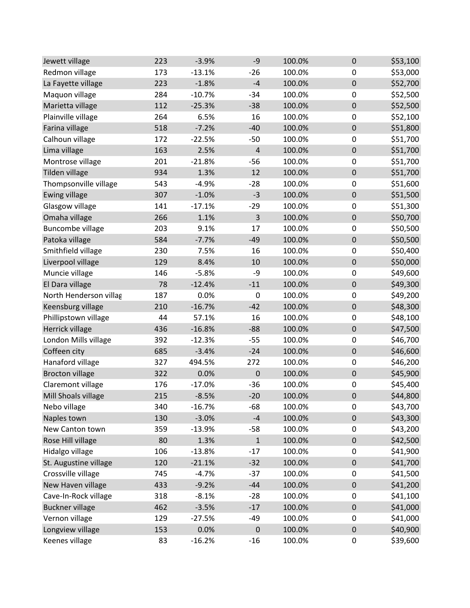| Jewett village          | 223 | $-3.9%$  | -9               | 100.0% | 0                | \$53,100 |
|-------------------------|-----|----------|------------------|--------|------------------|----------|
| Redmon village          | 173 | $-13.1%$ | $-26$            | 100.0% | 0                | \$53,000 |
| La Fayette village      | 223 | $-1.8%$  | $-4$             | 100.0% | $\pmb{0}$        | \$52,700 |
| Maquon village          | 284 | $-10.7%$ | $-34$            | 100.0% | 0                | \$52,500 |
| Marietta village        | 112 | $-25.3%$ | $-38$            | 100.0% | $\pmb{0}$        | \$52,500 |
| Plainville village      | 264 | 6.5%     | 16               | 100.0% | 0                | \$52,100 |
| Farina village          | 518 | $-7.2%$  | $-40$            | 100.0% | $\mathbf 0$      | \$51,800 |
| Calhoun village         | 172 | $-22.5%$ | $-50$            | 100.0% | $\pmb{0}$        | \$51,700 |
| Lima village            | 163 | 2.5%     | 4                | 100.0% | $\pmb{0}$        | \$51,700 |
| Montrose village        | 201 | $-21.8%$ | $-56$            | 100.0% | $\pmb{0}$        | \$51,700 |
| Tilden village          | 934 | 1.3%     | 12               | 100.0% | $\pmb{0}$        | \$51,700 |
| Thompsonville village   | 543 | $-4.9%$  | $-28$            | 100.0% | $\boldsymbol{0}$ | \$51,600 |
| <b>Ewing village</b>    | 307 | $-1.0%$  | $-3$             | 100.0% | $\pmb{0}$        | \$51,500 |
| Glasgow village         | 141 | $-17.1%$ | $-29$            | 100.0% | $\pmb{0}$        | \$51,300 |
| Omaha village           | 266 | 1.1%     | 3                | 100.0% | $\pmb{0}$        | \$50,700 |
| <b>Buncombe village</b> | 203 | 9.1%     | 17               | 100.0% | 0                | \$50,500 |
| Patoka village          | 584 | $-7.7%$  | $-49$            | 100.0% | $\pmb{0}$        | \$50,500 |
| Smithfield village      | 230 | 7.5%     | 16               | 100.0% | $\pmb{0}$        | \$50,400 |
| Liverpool village       | 129 | 8.4%     | 10               | 100.0% | $\pmb{0}$        | \$50,000 |
| Muncie village          | 146 | $-5.8%$  | -9               | 100.0% | $\mathbf 0$      | \$49,600 |
| El Dara village         | 78  | $-12.4%$ | $-11$            | 100.0% | $\pmb{0}$        | \$49,300 |
| North Henderson villag  | 187 | 0.0%     | $\pmb{0}$        | 100.0% | $\pmb{0}$        | \$49,200 |
| Keensburg village       | 210 | $-16.7%$ | $-42$            | 100.0% | $\pmb{0}$        | \$48,300 |
| Phillipstown village    | 44  | 57.1%    | 16               | 100.0% | $\boldsymbol{0}$ | \$48,100 |
| Herrick village         | 436 | $-16.8%$ | $-88$            | 100.0% | $\mathbf 0$      | \$47,500 |
| London Mills village    | 392 | $-12.3%$ | $-55$            | 100.0% | $\pmb{0}$        | \$46,700 |
| Coffeen city            | 685 | $-3.4%$  | $-24$            | 100.0% | $\pmb{0}$        | \$46,600 |
| Hanaford village        | 327 | 494.5%   | 272              | 100.0% | 0                | \$46,200 |
| <b>Brocton village</b>  | 322 | 0.0%     | $\boldsymbol{0}$ | 100.0% | $\pmb{0}$        | \$45,900 |
| Claremont village       | 176 | $-17.0%$ | $-36$            | 100.0% | 0                | \$45,400 |
| Mill Shoals village     | 215 | $-8.5%$  | $-20$            | 100.0% | $\boldsymbol{0}$ | \$44,800 |
| Nebo village            | 340 | $-16.7%$ | $-68$            | 100.0% | $\mathbf 0$      | \$43,700 |
| Naples town             | 130 | $-3.0%$  | $-4$             | 100.0% | $\pmb{0}$        | \$43,300 |
| New Canton town         | 359 | $-13.9%$ | $-58$            | 100.0% | $\pmb{0}$        | \$43,200 |
| Rose Hill village       | 80  | 1.3%     | $\mathbf{1}$     | 100.0% | $\pmb{0}$        | \$42,500 |
| Hidalgo village         | 106 | $-13.8%$ | $-17$            | 100.0% | 0                | \$41,900 |
| St. Augustine village   | 120 | $-21.1%$ | $-32$            | 100.0% | $\pmb{0}$        | \$41,700 |
| Crossville village      | 745 | $-4.7%$  | $-37$            | 100.0% | 0                | \$41,500 |
| New Haven village       | 433 | $-9.2%$  | $-44$            | 100.0% | $\pmb{0}$        | \$41,200 |
| Cave-In-Rock village    | 318 | $-8.1%$  | $-28$            | 100.0% | 0                | \$41,100 |
| <b>Buckner village</b>  | 462 | $-3.5%$  | $-17$            | 100.0% | $\pmb{0}$        | \$41,000 |
| Vernon village          | 129 | $-27.5%$ | $-49$            | 100.0% | 0                | \$41,000 |
| Longview village        | 153 | 0.0%     | $\boldsymbol{0}$ | 100.0% | $\pmb{0}$        | \$40,900 |
| Keenes village          | 83  | $-16.2%$ | $-16$            | 100.0% | 0                | \$39,600 |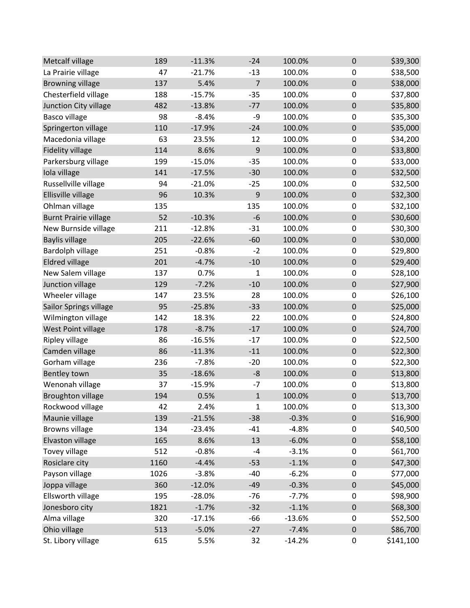| Metcalf village              | 189  | $-11.3%$ | $-24$          | 100.0%   | $\mathbf 0$      | \$39,300  |
|------------------------------|------|----------|----------------|----------|------------------|-----------|
| La Prairie village           | 47   | $-21.7%$ | $-13$          | 100.0%   | $\pmb{0}$        | \$38,500  |
| <b>Browning village</b>      | 137  | 5.4%     | $\overline{7}$ | 100.0%   | $\pmb{0}$        | \$38,000  |
| Chesterfield village         | 188  | $-15.7%$ | $-35$          | 100.0%   | $\pmb{0}$        | \$37,800  |
| Junction City village        | 482  | $-13.8%$ | $-77$          | 100.0%   | $\pmb{0}$        | \$35,800  |
| <b>Basco village</b>         | 98   | $-8.4%$  | -9             | 100.0%   | $\mathbf 0$      | \$35,300  |
| Springerton village          | 110  | $-17.9%$ | $-24$          | 100.0%   | $\mathbf 0$      | \$35,000  |
| Macedonia village            | 63   | 23.5%    | 12             | 100.0%   | $\pmb{0}$        | \$34,200  |
| <b>Fidelity village</b>      | 114  | 8.6%     | 9              | 100.0%   | $\pmb{0}$        | \$33,800  |
| Parkersburg village          | 199  | $-15.0%$ | $-35$          | 100.0%   | $\mathbf 0$      | \$33,000  |
| Iola village                 | 141  | $-17.5%$ | $-30$          | 100.0%   | $\pmb{0}$        | \$32,500  |
| Russellville village         | 94   | $-21.0%$ | $-25$          | 100.0%   | $\mathbf 0$      | \$32,500  |
| Ellisville village           | 96   | 10.3%    | 9              | 100.0%   | $\boldsymbol{0}$ | \$32,300  |
| Ohlman village               | 135  |          | 135            | 100.0%   | $\mathbf 0$      | \$32,100  |
| <b>Burnt Prairie village</b> | 52   | $-10.3%$ | $-6$           | 100.0%   | $\pmb{0}$        | \$30,600  |
| New Burnside village         | 211  | $-12.8%$ | $-31$          | 100.0%   | $\mathbf 0$      | \$30,300  |
| <b>Baylis village</b>        | 205  | $-22.6%$ | $-60$          | 100.0%   | $\pmb{0}$        | \$30,000  |
| Bardolph village             | 251  | $-0.8%$  | $-2$           | 100.0%   | $\mathbf 0$      | \$29,800  |
| <b>Eldred village</b>        | 201  | $-4.7%$  | $-10$          | 100.0%   | $\mathbf 0$      | \$29,400  |
| New Salem village            | 137  | 0.7%     | 1              | 100.0%   | $\pmb{0}$        | \$28,100  |
| Junction village             | 129  | $-7.2%$  | $-10$          | 100.0%   | $\pmb{0}$        | \$27,900  |
| Wheeler village              | 147  | 23.5%    | 28             | 100.0%   | $\pmb{0}$        | \$26,100  |
| Sailor Springs village       | 95   | $-25.8%$ | $-33$          | 100.0%   | $\pmb{0}$        | \$25,000  |
| Wilmington village           | 142  | 18.3%    | 22             | 100.0%   | $\mathbf 0$      | \$24,800  |
| West Point village           | 178  | $-8.7%$  | $-17$          | 100.0%   | $\mathbf 0$      | \$24,700  |
| Ripley village               | 86   | $-16.5%$ | $-17$          | 100.0%   | $\mathbf 0$      | \$22,500  |
| Camden village               | 86   | $-11.3%$ | $-11$          | 100.0%   | $\pmb{0}$        | \$22,300  |
| Gorham village               | 236  | $-7.8%$  | $-20$          | 100.0%   | $\pmb{0}$        | \$22,300  |
| <b>Bentley town</b>          | 35   | $-18.6%$ | $-8$           | 100.0%   | $\boldsymbol{0}$ | \$13,800  |
| Wenonah village              | 37   | $-15.9%$ | $-7$           | 100.0%   | $\pmb{0}$        | \$13,800  |
| <b>Broughton village</b>     | 194  | 0.5%     | $\mathbf{1}$   | 100.0%   | $\mathbf 0$      | \$13,700  |
| Rockwood village             | 42   | 2.4%     | $\mathbf{1}$   | 100.0%   | $\mathbf 0$      | \$13,300  |
| Maunie village               | 139  | $-21.5%$ | $-38$          | $-0.3%$  | $\mathbf 0$      | \$16,900  |
| <b>Browns village</b>        | 134  | $-23.4%$ | $-41$          | $-4.8%$  | 0                | \$40,500  |
| Elvaston village             | 165  | 8.6%     | 13             | $-6.0%$  | $\pmb{0}$        | \$58,100  |
| Tovey village                | 512  | $-0.8%$  | $-4$           | $-3.1%$  | $\pmb{0}$        | \$61,700  |
| Rosiclare city               | 1160 | $-4.4%$  | $-53$          | $-1.1%$  | $\pmb{0}$        | \$47,300  |
| Payson village               | 1026 | $-3.8%$  | $-40$          | $-6.2%$  | $\pmb{0}$        | \$77,000  |
| Joppa village                | 360  | $-12.0%$ | $-49$          | $-0.3%$  | $\pmb{0}$        | \$45,000  |
| Ellsworth village            | 195  | $-28.0%$ | $-76$          | $-7.7%$  | $\mathbf 0$      | \$98,900  |
| Jonesboro city               | 1821 | $-1.7%$  | $-32$          | $-1.1%$  | $\pmb{0}$        | \$68,300  |
| Alma village                 | 320  | $-17.1%$ | $-66$          | $-13.6%$ | 0                | \$52,500  |
| Ohio village                 | 513  | $-5.0%$  | $-27$          | $-7.4%$  | $\pmb{0}$        | \$86,700  |
| St. Libory village           | 615  | 5.5%     | 32             | $-14.2%$ | $\pmb{0}$        | \$141,100 |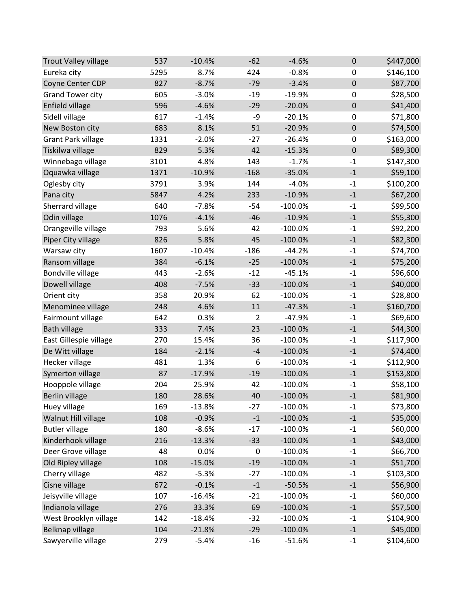| <b>Trout Valley village</b> | 537  | $-10.4%$ | $-62$          | $-4.6%$   | $\pmb{0}$               | \$447,000 |
|-----------------------------|------|----------|----------------|-----------|-------------------------|-----------|
| Eureka city                 | 5295 | 8.7%     | 424            | $-0.8%$   | $\boldsymbol{0}$        | \$146,100 |
| Coyne Center CDP            | 827  | $-8.7%$  | $-79$          | $-3.4%$   | $\pmb{0}$               | \$87,700  |
| <b>Grand Tower city</b>     | 605  | $-3.0%$  | $-19$          | $-19.9%$  | 0                       | \$28,500  |
| Enfield village             | 596  | $-4.6%$  | $-29$          | $-20.0%$  | $\boldsymbol{0}$        | \$41,400  |
| Sidell village              | 617  | $-1.4%$  | -9             | $-20.1%$  | 0                       | \$71,800  |
| New Boston city             | 683  | 8.1%     | 51             | $-20.9%$  | $\pmb{0}$               | \$74,500  |
| <b>Grant Park village</b>   | 1331 | $-2.0%$  | $-27$          | $-26.4%$  | $\boldsymbol{0}$        | \$163,000 |
| Tiskilwa village            | 829  | 5.3%     | 42             | $-15.3%$  | $\pmb{0}$               | \$89,300  |
| Winnebago village           | 3101 | 4.8%     | 143            | $-1.7%$   | $-1$                    | \$147,300 |
| Oquawka village             | 1371 | $-10.9%$ | $-168$         | $-35.0%$  | $-1$                    | \$59,100  |
| Oglesby city                | 3791 | 3.9%     | 144            | $-4.0%$   | $-1$                    | \$100,200 |
| Pana city                   | 5847 | 4.2%     | 233            | $-10.9%$  | $-1$                    | \$67,200  |
| Sherrard village            | 640  | $-7.8%$  | $-54$          | $-100.0%$ | $-1$                    | \$99,500  |
| Odin village                | 1076 | $-4.1%$  | $-46$          | $-10.9%$  | $-1$                    | \$55,300  |
| Orangeville village         | 793  | 5.6%     | 42             | $-100.0%$ | $-1$                    | \$92,200  |
| Piper City village          | 826  | 5.8%     | 45             | $-100.0%$ | $^{\text{{\small -1}}}$ | \$82,300  |
| Warsaw city                 | 1607 | $-10.4%$ | $-186$         | $-44.2%$  | $-1$                    | \$74,700  |
| Ransom village              | 384  | $-6.1%$  | $-25$          | $-100.0%$ | $-1$                    | \$75,200  |
| Bondville village           | 443  | $-2.6%$  | $-12$          | $-45.1%$  | $-1$                    | \$96,600  |
| Dowell village              | 408  | $-7.5%$  | $-33$          | $-100.0%$ | $-1$                    | \$40,000  |
| Orient city                 | 358  | 20.9%    | 62             | $-100.0%$ | $-1$                    | \$28,800  |
| Menominee village           | 248  | 4.6%     | $11\,$         | $-47.3%$  | $\text{-}1$             | \$160,700 |
| Fairmount village           | 642  | 0.3%     | $\overline{2}$ | $-47.9%$  | $-1$                    | \$69,600  |
| <b>Bath village</b>         | 333  | 7.4%     | 23             | $-100.0%$ | $-1$                    | \$44,300  |
| East Gillespie village      | 270  | 15.4%    | 36             | $-100.0%$ | $-1$                    | \$117,900 |
| De Witt village             | 184  | $-2.1%$  | $-4$           | $-100.0%$ | $^{\text{{\small -1}}}$ | \$74,400  |
| Hecker village              | 481  | 1.3%     | 6              | $-100.0%$ | $-1$                    | \$112,900 |
| Symerton village            | 87   | $-17.9%$ | $-19$          | $-100.0%$ | $-1$                    | \$153,800 |
| Hooppole village            | 204  | 25.9%    | 42             | $-100.0%$ | $-1$                    | \$58,100  |
| <b>Berlin village</b>       | 180  | 28.6%    | 40             | $-100.0%$ | $-1$                    | \$81,900  |
| Huey village                | 169  | $-13.8%$ | $-27$          | $-100.0%$ | $-1$                    | \$73,800  |
| Walnut Hill village         | 108  | $-0.9%$  | $\textbf{-1}$  | $-100.0%$ | $-1$                    | \$35,000  |
| <b>Butler village</b>       | 180  | $-8.6%$  | $-17$          | $-100.0%$ | $-1$                    | \$60,000  |
| Kinderhook village          | 216  | $-13.3%$ | $-33$          | $-100.0%$ | $-1$                    | \$43,000  |
| Deer Grove village          | 48   | 0.0%     | 0              | $-100.0%$ | $-1$                    | \$66,700  |
| Old Ripley village          | 108  | $-15.0%$ | $-19$          | $-100.0%$ | $-1$                    | \$51,700  |
| Cherry village              | 482  | $-5.3%$  | $-27$          | $-100.0%$ | $-1$                    | \$103,300 |
| Cisne village               | 672  | $-0.1%$  | $-1$           | $-50.5%$  | $^{\rm -1}$             | \$56,900  |
| Jeisyville village          | 107  | $-16.4%$ | $-21$          | $-100.0%$ | $-1$                    | \$60,000  |
| Indianola village           | 276  | 33.3%    | 69             | $-100.0%$ | $^{\rm -1}$             | \$57,500  |
| West Brooklyn village       | 142  | $-18.4%$ | $-32$          | $-100.0%$ | $-1$                    | \$104,900 |
| Belknap village             | 104  | $-21.8%$ | $-29$          | $-100.0%$ | $\text{-}1$             | \$45,000  |
| Sawyerville village         | 279  | $-5.4%$  | $-16$          | $-51.6%$  | $-1$                    | \$104,600 |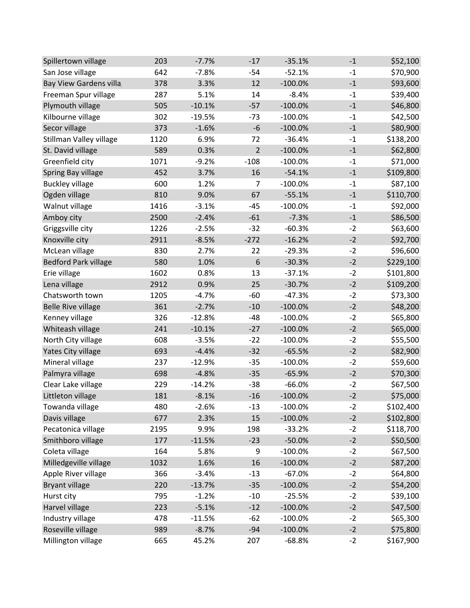| Spillertown village         | 203  | $-7.7%$  | $-17$          | $-35.1%$  | $-1$          | \$52,100  |
|-----------------------------|------|----------|----------------|-----------|---------------|-----------|
| San Jose village            | 642  | $-7.8%$  | $-54$          | $-52.1%$  | $-1$          | \$70,900  |
| Bay View Gardens villa      | 378  | 3.3%     | 12             | $-100.0%$ | $\textbf{-1}$ | \$93,600  |
| Freeman Spur village        | 287  | 5.1%     | 14             | $-8.4%$   | $-1$          | \$39,400  |
| Plymouth village            | 505  | $-10.1%$ | $-57$          | $-100.0%$ | $-1$          | \$46,800  |
| Kilbourne village           | 302  | $-19.5%$ | $-73$          | $-100.0%$ | $-1$          | \$42,500  |
| Secor village               | 373  | $-1.6%$  | $-6$           | $-100.0%$ | $-1$          | \$80,900  |
| Stillman Valley village     | 1120 | 6.9%     | 72             | $-36.4%$  | $-1$          | \$138,200 |
| St. David village           | 589  | 0.3%     | $\overline{2}$ | $-100.0%$ | $-1$          | \$62,800  |
| Greenfield city             | 1071 | $-9.2%$  | $-108$         | $-100.0%$ | $-1$          | \$71,000  |
| Spring Bay village          | 452  | 3.7%     | 16             | $-54.1%$  | $-1$          | \$109,800 |
| <b>Buckley village</b>      | 600  | 1.2%     | $\overline{7}$ | $-100.0%$ | $-1$          | \$87,100  |
| Ogden village               | 810  | 9.0%     | 67             | $-55.1%$  | $-1$          | \$110,700 |
| Walnut village              | 1416 | $-3.1%$  | $-45$          | $-100.0%$ | $-1$          | \$92,000  |
| Amboy city                  | 2500 | $-2.4%$  | $-61$          | $-7.3%$   | $-1$          | \$86,500  |
| Griggsville city            | 1226 | $-2.5%$  | $-32$          | $-60.3%$  | $-2$          | \$63,600  |
| Knoxville city              | 2911 | $-8.5%$  | $-272$         | $-16.2%$  | $-2$          | \$92,700  |
| McLean village              | 830  | 2.7%     | 22             | $-29.3%$  | $-2$          | \$96,600  |
| <b>Bedford Park village</b> | 580  | 1.0%     | 6              | $-30.3%$  | $-2$          | \$229,100 |
| Erie village                | 1602 | 0.8%     | 13             | $-37.1%$  | $-2$          | \$101,800 |
| Lena village                | 2912 | 0.9%     | 25             | $-30.7%$  | $-2$          | \$109,200 |
| Chatsworth town             | 1205 | $-4.7%$  | $-60$          | $-47.3%$  | $-2$          | \$73,300  |
| <b>Belle Rive village</b>   | 361  | $-2.7%$  | $-10$          | $-100.0%$ | $-2$          | \$48,200  |
| Kenney village              | 326  | $-12.8%$ | $-48$          | $-100.0%$ | $-2$          | \$65,800  |
| Whiteash village            | 241  | $-10.1%$ | $-27$          | $-100.0%$ | $-2$          | \$65,000  |
| North City village          | 608  | $-3.5%$  | $-22$          | $-100.0%$ | $-2$          | \$55,500  |
| Yates City village          | 693  | $-4.4%$  | $-32$          | $-65.5%$  | $-2$          | \$82,900  |
| Mineral village             | 237  | $-12.9%$ | $-35$          | $-100.0%$ | $-2$          | \$59,600  |
| Palmyra village             | 698  | $-4.8%$  | $-35$          | $-65.9%$  | $-2$          | \$70,300  |
| Clear Lake village          | 229  | $-14.2%$ | $-38$          | $-66.0%$  | $-2$          | \$67,500  |
| Littleton village           | 181  | $-8.1%$  | $-16$          | $-100.0%$ | $-2$          | \$75,000  |
| Towanda village             | 480  | $-2.6%$  | $-13$          | $-100.0%$ | $-2$          | \$102,400 |
| Davis village               | 677  | 2.3%     | 15             | $-100.0%$ | $-2$          | \$102,800 |
| Pecatonica village          | 2195 | 9.9%     | 198            | $-33.2%$  | $-2$          | \$118,700 |
| Smithboro village           | 177  | $-11.5%$ | $-23$          | $-50.0%$  | $-2$          | \$50,500  |
| Coleta village              | 164  | 5.8%     | 9              | $-100.0%$ | $-2$          | \$67,500  |
| Milledgeville village       | 1032 | 1.6%     | 16             | $-100.0%$ | $-2$          | \$87,200  |
| Apple River village         | 366  | $-3.4%$  | $-13$          | $-67.0%$  | $-2$          | \$64,800  |
| <b>Bryant village</b>       | 220  | $-13.7%$ | $-35$          | $-100.0%$ | $-2$          | \$54,200  |
| Hurst city                  | 795  | $-1.2%$  | $-10$          | $-25.5%$  | $-2$          | \$39,100  |
| Harvel village              | 223  | $-5.1%$  | $-12$          | $-100.0%$ | $-2$          | \$47,500  |
| Industry village            | 478  | $-11.5%$ | $-62$          | $-100.0%$ | $-2$          | \$65,300  |
| Roseville village           | 989  | $-8.7%$  | $-94$          | $-100.0%$ | $-2$          | \$75,800  |
| Millington village          | 665  | 45.2%    | 207            | $-68.8%$  | $-2$          | \$167,900 |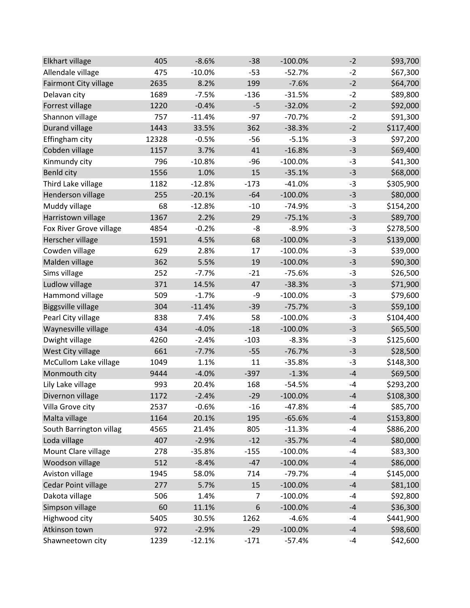| Elkhart village           | 405   | $-8.6%$  | $-38$            | $-100.0%$ | $-2$ | \$93,700  |
|---------------------------|-------|----------|------------------|-----------|------|-----------|
| Allendale village         | 475   | $-10.0%$ | $-53$            | $-52.7%$  | $-2$ | \$67,300  |
| Fairmont City village     | 2635  | 8.2%     | 199              | $-7.6%$   | $-2$ | \$64,700  |
| Delavan city              | 1689  | $-7.5%$  | $-136$           | $-31.5%$  | $-2$ | \$89,800  |
| Forrest village           | 1220  | $-0.4%$  | $-5$             | $-32.0%$  | $-2$ | \$92,000  |
| Shannon village           | 757   | $-11.4%$ | $-97$            | $-70.7%$  | $-2$ | \$91,300  |
| <b>Durand village</b>     | 1443  | 33.5%    | 362              | $-38.3%$  | $-2$ | \$117,400 |
| Effingham city            | 12328 | $-0.5%$  | $-56$            | $-5.1%$   | $-3$ | \$97,200  |
| Cobden village            | 1157  | 3.7%     | 41               | $-16.8%$  | $-3$ | \$69,400  |
| Kinmundy city             | 796   | $-10.8%$ | $-96$            | $-100.0%$ | $-3$ | \$41,300  |
| Benld city                | 1556  | 1.0%     | 15               | $-35.1%$  | $-3$ | \$68,000  |
| Third Lake village        | 1182  | $-12.8%$ | $-173$           | $-41.0%$  | $-3$ | \$305,900 |
| Henderson village         | 255   | $-20.1%$ | $-64$            | $-100.0%$ | $-3$ | \$80,000  |
| Muddy village             | 68    | $-12.8%$ | $-10$            | $-74.9%$  | $-3$ | \$154,200 |
| Harristown village        | 1367  | 2.2%     | 29               | $-75.1%$  | $-3$ | \$89,700  |
| Fox River Grove village   | 4854  | $-0.2%$  | -8               | $-8.9%$   | $-3$ | \$278,500 |
| Herscher village          | 1591  | 4.5%     | 68               | $-100.0%$ | $-3$ | \$139,000 |
| Cowden village            | 629   | 2.8%     | 17               | $-100.0%$ | $-3$ | \$39,000  |
| Malden village            | 362   | 5.5%     | 19               | $-100.0%$ | $-3$ | \$90,300  |
| Sims village              | 252   | $-7.7%$  | $-21$            | $-75.6%$  | $-3$ | \$26,500  |
| Ludlow village            | 371   | 14.5%    | 47               | $-38.3%$  | $-3$ | \$71,900  |
| Hammond village           | 509   | $-1.7%$  | -9               | $-100.0%$ | $-3$ | \$79,600  |
| <b>Biggsville village</b> | 304   | $-11.4%$ | $-39$            | $-75.7%$  | $-3$ | \$59,100  |
| Pearl City village        | 838   | 7.4%     | 58               | $-100.0%$ | $-3$ | \$104,400 |
| Waynesville village       | 434   | $-4.0%$  | $-18$            | $-100.0%$ | $-3$ | \$65,500  |
| Dwight village            | 4260  | $-2.4%$  | $-103$           | $-8.3%$   | $-3$ | \$125,600 |
| West City village         | 661   | $-7.7%$  | $-55$            | $-76.7%$  | $-3$ | \$28,500  |
| McCullom Lake village     | 1049  | 1.1%     | 11               | $-35.8%$  | $-3$ | \$148,300 |
| Monmouth city             | 9444  | $-4.0%$  | $-397$           | $-1.3%$   | $-4$ | \$69,500  |
| Lily Lake village         | 993   | 20.4%    | 168              | $-54.5%$  | $-4$ | \$293,200 |
| Divernon village          | 1172  | $-2.4%$  | $-29$            | $-100.0%$ | $-4$ | \$108,300 |
| Villa Grove city          | 2537  | $-0.6%$  | $-16$            | $-47.8%$  | -4   | \$85,700  |
| Malta village             | 1164  | 20.1%    | 195              | $-65.6%$  | $-4$ | \$153,800 |
| South Barrington villag   | 4565  | 21.4%    | 805              | $-11.3%$  | -4   | \$886,200 |
| Loda village              | 407   | $-2.9%$  | $-12$            | $-35.7%$  | $-4$ | \$80,000  |
| Mount Clare village       | 278   | $-35.8%$ | $-155$           | $-100.0%$ | $-4$ | \$83,300  |
| Woodson village           | 512   | $-8.4%$  | $-47$            | $-100.0%$ | $-4$ | \$86,000  |
| Aviston village           | 1945  | 58.0%    | 714              | $-79.7%$  | $-4$ | \$145,000 |
| Cedar Point village       | 277   | 5.7%     | 15               | $-100.0%$ | $-4$ | \$81,100  |
| Dakota village            | 506   | 1.4%     | 7                | $-100.0%$ | $-4$ | \$92,800  |
| Simpson village           | 60    | 11.1%    | $\boldsymbol{6}$ | $-100.0%$ | $-4$ | \$36,300  |
| Highwood city             | 5405  | 30.5%    | 1262             | $-4.6%$   | $-4$ | \$441,900 |
| Atkinson town             | 972   | $-2.9%$  | $-29$            | $-100.0%$ | $-4$ | \$98,600  |
| Shawneetown city          | 1239  | $-12.1%$ | $-171$           | $-57.4%$  | -4   | \$42,600  |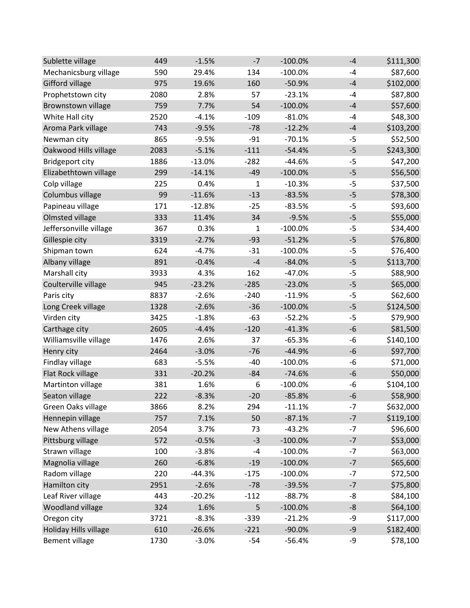| Sublette village       | 449  | $-1.5%$  | $-7$   | $-100.0%$ | $-4$ | \$111,300 |
|------------------------|------|----------|--------|-----------|------|-----------|
| Mechanicsburg village  | 590  | 29.4%    | 134    | $-100.0%$ | $-4$ | \$87,600  |
| Gifford village        | 975  | 19.6%    | 160    | $-50.9%$  | $-4$ | \$102,000 |
| Prophetstown city      | 2080 | 2.8%     | 57     | $-23.1%$  | $-4$ | \$87,800  |
| Brownstown village     | 759  | 7.7%     | 54     | $-100.0%$ | $-4$ | \$57,600  |
| White Hall city        | 2520 | $-4.1%$  | $-109$ | $-81.0%$  | $-4$ | \$48,300  |
| Aroma Park village     | 743  | $-9.5%$  | $-78$  | $-12.2%$  | $-4$ | \$103,200 |
| Newman city            | 865  | $-9.5%$  | $-91$  | $-70.1%$  | $-5$ | \$52,500  |
| Oakwood Hills village  | 2083 | $-5.1%$  | $-111$ | $-54.4%$  | $-5$ | \$243,300 |
| Bridgeport city        | 1886 | $-13.0%$ | $-282$ | $-44.6%$  | $-5$ | \$47,200  |
| Elizabethtown village  | 299  | $-14.1%$ | $-49$  | $-100.0%$ | $-5$ | \$56,500  |
| Colp village           | 225  | 0.4%     | 1      | $-10.3%$  | $-5$ | \$37,500  |
| Columbus village       | 99   | $-11.6%$ | $-13$  | $-83.5%$  | $-5$ | \$78,300  |
| Papineau village       | 171  | $-12.8%$ | $-25$  | $-83.5%$  | $-5$ | \$93,600  |
| Olmsted village        | 333  | 11.4%    | 34     | $-9.5%$   | $-5$ | \$55,000  |
| Jeffersonville village | 367  | 0.3%     | 1      | $-100.0%$ | $-5$ | \$34,400  |
| Gillespie city         | 3319 | $-2.7%$  | $-93$  | $-51.2%$  | $-5$ | \$76,800  |
| Shipman town           | 624  | $-4.7%$  | $-31$  | $-100.0%$ | $-5$ | \$76,400  |
| Albany village         | 891  | $-0.4%$  | $-4$   | $-84.0%$  | $-5$ | \$113,700 |
| Marshall city          | 3933 | 4.3%     | 162    | $-47.0%$  | $-5$ | \$88,900  |
| Coulterville village   | 945  | $-23.2%$ | $-285$ | $-23.0%$  | $-5$ | \$65,000  |
| Paris city             | 8837 | $-2.6%$  | $-240$ | $-11.9%$  | $-5$ | \$62,600  |
| Long Creek village     | 1328 | $-2.6%$  | $-36$  | $-100.0%$ | $-5$ | \$124,500 |
| Virden city            | 3425 | $-1.8%$  | $-63$  | $-52.2%$  | $-5$ | \$79,900  |
| Carthage city          | 2605 | $-4.4%$  | $-120$ | $-41.3%$  | $-6$ | \$81,500  |
| Williamsville village  | 1476 | 2.6%     | 37     | $-65.3%$  | $-6$ | \$140,100 |
| Henry city             | 2464 | $-3.0%$  | $-76$  | $-44.9%$  | $-6$ | \$97,700  |
| Findlay village        | 683  | $-5.5%$  | $-40$  | $-100.0%$ | -6   | \$71,000  |
| Flat Rock village      | 331  | $-20.2%$ | $-84$  | $-74.6%$  | $-6$ | \$50,000  |
| Martinton village      | 381  | 1.6%     | 6      | $-100.0%$ | $-6$ | \$104,100 |
| Seaton village         | 222  | $-8.3%$  | $-20$  | $-85.8%$  | $-6$ | \$58,900  |
| Green Oaks village     | 3866 | 8.2%     | 294    | $-11.1%$  | $-7$ | \$632,000 |
| Hennepin village       | 757  | 7.1%     | 50     | $-87.1%$  | $-7$ | \$119,100 |
| New Athens village     | 2054 | 3.7%     | 73     | $-43.2%$  | $-7$ | \$96,600  |
| Pittsburg village      | 572  | $-0.5%$  | $-3$   | $-100.0%$ | $-7$ | \$53,000  |
| Strawn village         | 100  | $-3.8%$  | $-4$   | $-100.0%$ | $-7$ | \$63,000  |
| Magnolia village       | 260  | $-6.8%$  | $-19$  | $-100.0%$ | $-7$ | \$65,600  |
| Radom village          | 220  | $-44.3%$ | $-175$ | $-100.0%$ | $-7$ | \$72,500  |
| Hamilton city          | 2951 | $-2.6%$  | $-78$  | $-39.5%$  | $-7$ | \$75,800  |
| Leaf River village     | 443  | $-20.2%$ | $-112$ | $-88.7%$  | -8   | \$84,100  |
| Woodland village       | 324  | 1.6%     | 5      | $-100.0%$ | -8   | \$64,100  |
| Oregon city            | 3721 | $-8.3%$  | $-339$ | $-21.2%$  | -9   | \$117,000 |
| Holiday Hills village  | 610  | $-26.6%$ | $-221$ | $-90.0%$  | $-9$ | \$182,400 |
| <b>Bement village</b>  | 1730 | $-3.0%$  | $-54$  | $-56.4%$  | -9   | \$78,100  |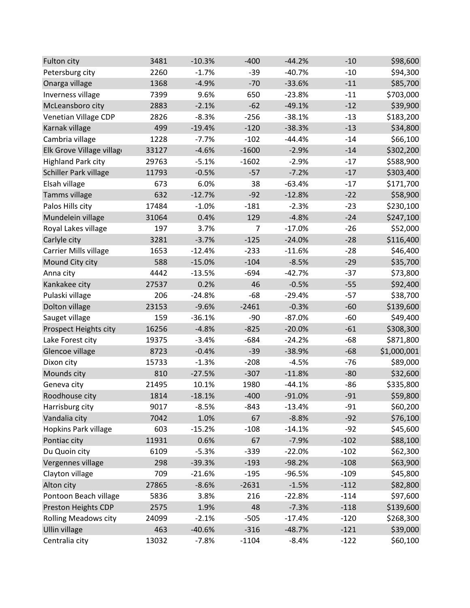| Fulton city                 | 3481  | $-10.3%$ | $-400$  | $-44.2%$ | $-10$  | \$98,600    |
|-----------------------------|-------|----------|---------|----------|--------|-------------|
| Petersburg city             | 2260  | $-1.7%$  | $-39$   | $-40.7%$ | $-10$  | \$94,300    |
| Onarga village              | 1368  | $-4.9%$  | $-70$   | $-33.6%$ | $-11$  | \$85,700    |
| Inverness village           | 7399  | 9.6%     | 650     | $-23.8%$ | $-11$  | \$703,000   |
| McLeansboro city            | 2883  | $-2.1%$  | $-62$   | $-49.1%$ | $-12$  | \$39,900    |
| Venetian Village CDP        | 2826  | $-8.3%$  | $-256$  | $-38.1%$ | $-13$  | \$183,200   |
| Karnak village              | 499   | $-19.4%$ | $-120$  | $-38.3%$ | $-13$  | \$34,800    |
| Cambria village             | 1228  | $-7.7%$  | $-102$  | $-44.4%$ | $-14$  | \$66,100    |
| Elk Grove Village village   | 33127 | $-4.6%$  | $-1600$ | $-2.9%$  | $-14$  | \$302,200   |
| <b>Highland Park city</b>   | 29763 | $-5.1%$  | $-1602$ | $-2.9%$  | $-17$  | \$588,900   |
| Schiller Park village       | 11793 | $-0.5%$  | $-57$   | $-7.2%$  | $-17$  | \$303,400   |
| Elsah village               | 673   | 6.0%     | 38      | $-63.4%$ | $-17$  | \$171,700   |
| Tamms village               | 632   | $-12.7%$ | $-92$   | $-12.8%$ | $-22$  | \$58,900    |
| Palos Hills city            | 17484 | $-1.0%$  | $-181$  | $-2.3%$  | $-23$  | \$230,100   |
| Mundelein village           | 31064 | 0.4%     | 129     | $-4.8%$  | $-24$  | \$247,100   |
| Royal Lakes village         | 197   | 3.7%     | 7       | $-17.0%$ | $-26$  | \$52,000    |
| Carlyle city                | 3281  | $-3.7%$  | $-125$  | $-24.0%$ | $-28$  | \$116,400   |
| Carrier Mills village       | 1653  | $-12.4%$ | $-233$  | $-11.6%$ | $-28$  | \$46,400    |
| Mound City city             | 588   | $-15.0%$ | $-104$  | $-8.5%$  | $-29$  | \$35,700    |
| Anna city                   | 4442  | $-13.5%$ | $-694$  | $-42.7%$ | $-37$  | \$73,800    |
| Kankakee city               | 27537 | 0.2%     | 46      | $-0.5%$  | $-55$  | \$92,400    |
| Pulaski village             | 206   | $-24.8%$ | $-68$   | $-29.4%$ | $-57$  | \$38,700    |
| Dolton village              | 23153 | $-9.6%$  | $-2461$ | $-0.3%$  | $-60$  | \$139,600   |
| Sauget village              | 159   | $-36.1%$ | $-90$   | $-87.0%$ | $-60$  | \$49,400    |
| Prospect Heights city       | 16256 | $-4.8%$  | $-825$  | $-20.0%$ | $-61$  | \$308,300   |
| Lake Forest city            | 19375 | $-3.4%$  | $-684$  | $-24.2%$ | $-68$  | \$871,800   |
| Glencoe village             | 8723  | $-0.4%$  | $-39$   | $-38.9%$ | $-68$  | \$1,000,001 |
| Dixon city                  | 15733 | $-1.3%$  | $-208$  | $-4.5%$  | $-76$  | \$89,000    |
| Mounds city                 | 810   | $-27.5%$ | $-307$  | $-11.8%$ | $-80$  | \$32,600    |
| Geneva city                 | 21495 | 10.1%    | 1980    | $-44.1%$ | $-86$  | \$335,800   |
| Roodhouse city              | 1814  | $-18.1%$ | $-400$  | $-91.0%$ | $-91$  | \$59,800    |
| Harrisburg city             | 9017  | $-8.5%$  | $-843$  | $-13.4%$ | $-91$  | \$60,200    |
| Vandalia city               | 7042  | 1.0%     | 67      | $-8.8%$  | $-92$  | \$76,100    |
| Hopkins Park village        | 603   | $-15.2%$ | $-108$  | $-14.1%$ | $-92$  | \$45,600    |
| Pontiac city                | 11931 | 0.6%     | 67      | $-7.9%$  | $-102$ | \$88,100    |
| Du Quoin city               | 6109  | $-5.3%$  | $-339$  | $-22.0%$ | $-102$ | \$62,300    |
| Vergennes village           | 298   | $-39.3%$ | $-193$  | $-98.2%$ | $-108$ | \$63,900    |
| Clayton village             | 709   | $-21.6%$ | $-195$  | $-96.5%$ | $-109$ | \$45,800    |
| Alton city                  | 27865 | $-8.6%$  | $-2631$ | $-1.5%$  | $-112$ | \$82,800    |
| Pontoon Beach village       | 5836  | 3.8%     | 216     | $-22.8%$ | $-114$ | \$97,600    |
| Preston Heights CDP         | 2575  | 1.9%     | 48      | $-7.3%$  | $-118$ | \$139,600   |
| <b>Rolling Meadows city</b> | 24099 | $-2.1%$  | $-505$  | $-17.4%$ | $-120$ | \$268,300   |
| <b>Ullin village</b>        | 463   | $-40.6%$ | $-316$  | $-48.7%$ | $-121$ | \$39,000    |
| Centralia city              | 13032 | $-7.8%$  | $-1104$ | $-8.4%$  | $-122$ | \$60,100    |